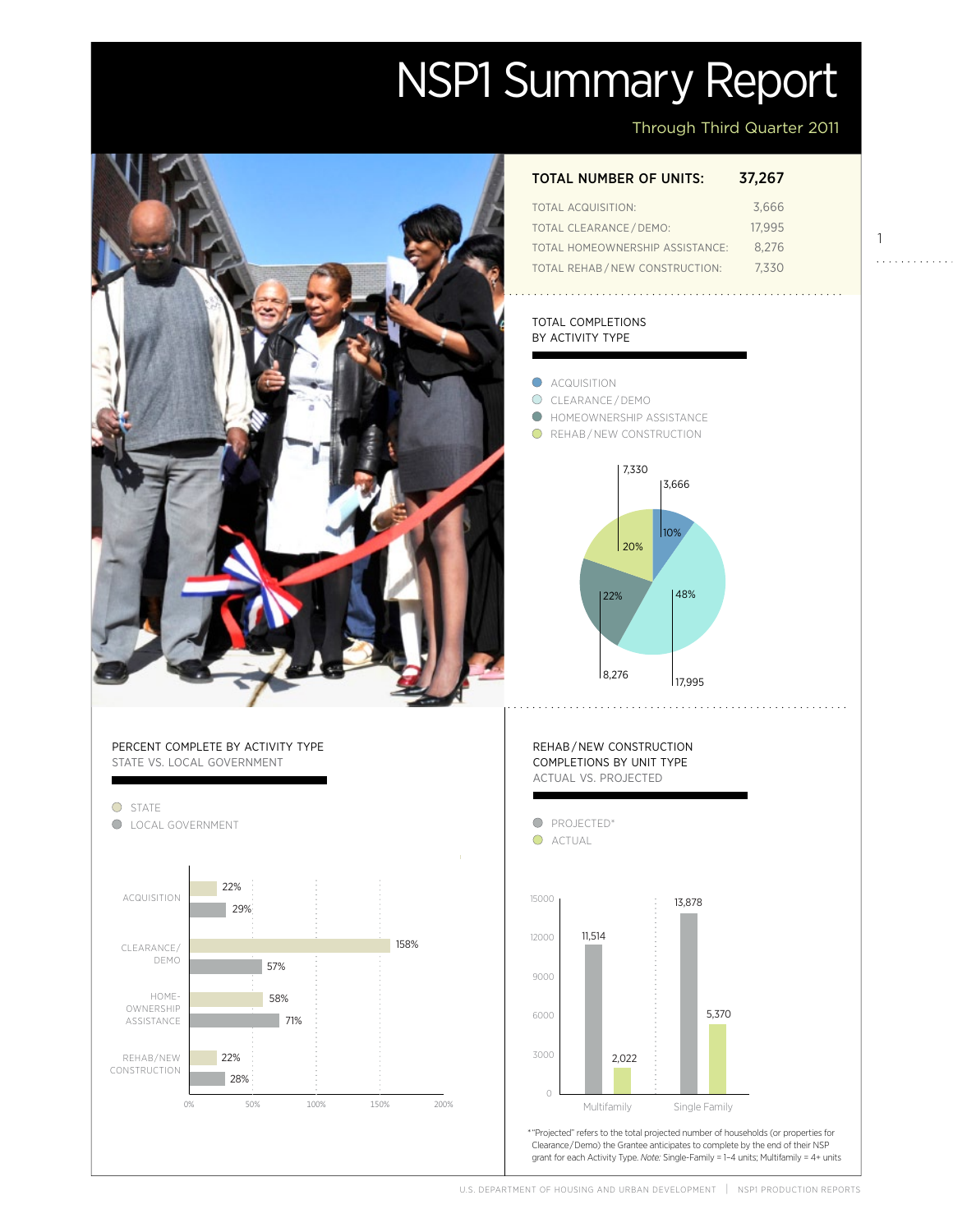# NSP1 Summary Report

Through Third Quarter 2011

### total number of units: 37,267

| TOTAL ACQUISITION:              | 3.666  |
|---------------------------------|--------|
| TOTAL CLEARANCE / DEMO:         | 17.995 |
| TOTAL HOMEOWNERSHIP ASSISTANCE: | 8.276  |
| TOTAL REHAB/NEW CONSTRUCTION:   | 7.330  |

#### total completions by activity type

- **ACQUISITION**
- O CLEARANCE/DEMO
- **O** HOMEOWNERSHIP ASSISTANCE
- **O** REHAB/NEW CONSTRUCTION



## Percent complete by activity type state vs. local government



# <code>REHAB</code>/<code>NEW CONSTRUCTION</code> completions by unit type actual vs. projected



U.S. DEPARTMENT OF HOUSING AND URBAN DEVELOPMENT | NSPI PRODUCTION REPORTS

1

. . . . . . . . . . . .

Actual

Projected

Projected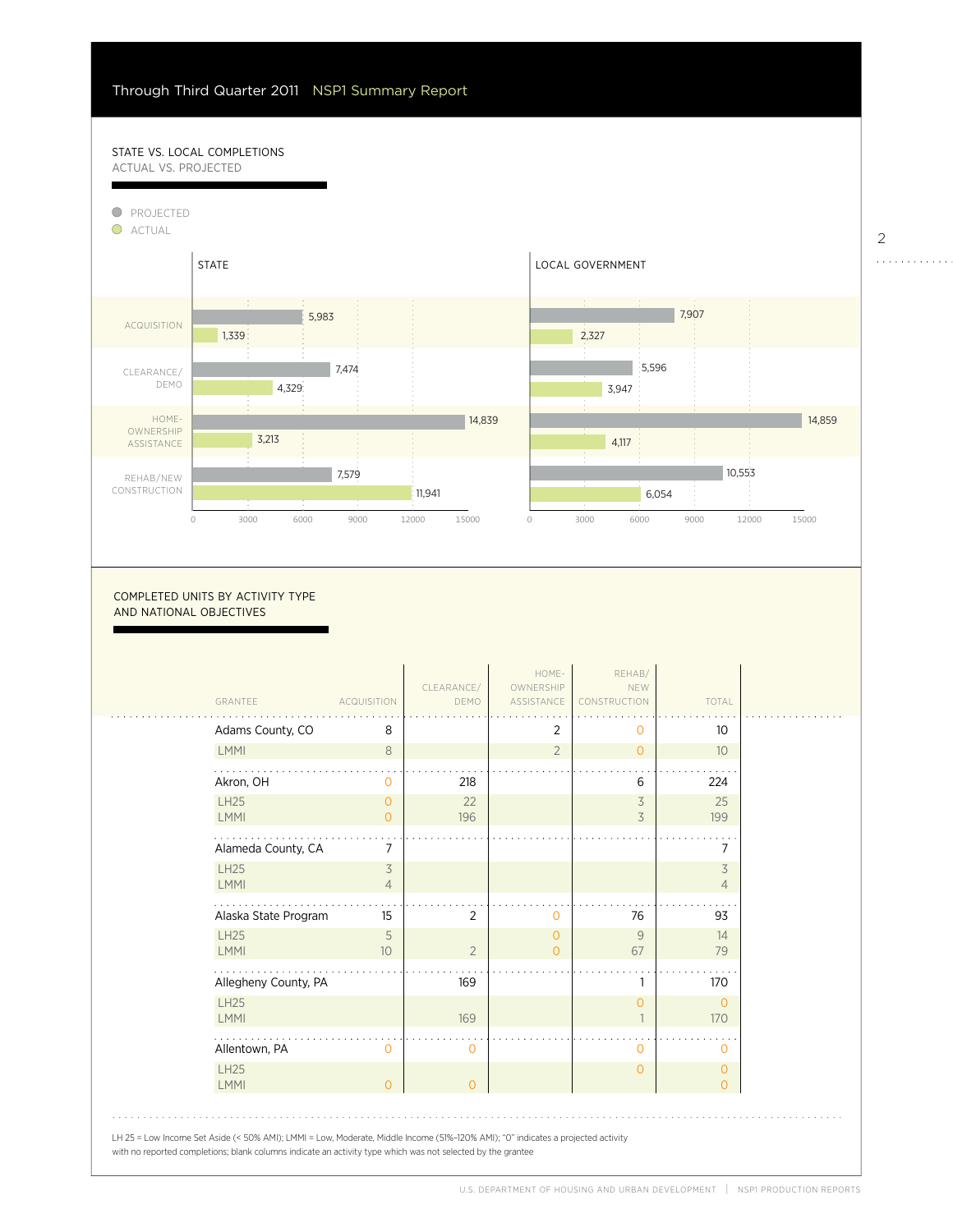58%

#### STATE VS. LOCAL COMPLETIONS actual vs. projected



COMPLETED UNITS BY ACTIVITY TYPE and national objectives

| GRANTEE                    | <b>ACQUISITION</b>         | CLEARANCE/<br>DEMO | HOME-<br>OWNERSHIP<br>ASSISTANCE | REHAB/<br>NEW<br>CONSTRUCTION | TOTAL                      |
|----------------------------|----------------------------|--------------------|----------------------------------|-------------------------------|----------------------------|
| Adams County, CO           | 8                          |                    | 2                                | $\circ$                       | 10 <sup>°</sup>            |
| <b>LMMI</b>                | 8                          |                    | $\overline{2}$                   | $\overline{0}$                | 10 <sup>°</sup>            |
| Akron, OH                  | $\circ$                    | 218                |                                  | 6                             | 224                        |
| <b>LH25</b><br>LMMI        | $\overline{O}$<br>$\Omega$ | 22<br>196          |                                  | 3<br>3                        | 25<br>199                  |
| Alameda County, CA         | 7                          |                    |                                  |                               | 7                          |
| <b>LH25</b><br>LMMI        | 3<br>$\overline{4}$        |                    |                                  |                               | 3<br>$\overline{4}$        |
| Alaska State Program       | 15                         | $\overline{2}$     | 0                                | 76                            | 93                         |
| <b>LH25</b><br><b>LMMI</b> | 5<br>10 <sup>°</sup>       | $\overline{2}$     | 0<br>$\Omega$                    | 9<br>67                       | 14<br>79                   |
| Allegheny County, PA       |                            | 169                |                                  |                               | 170                        |
| <b>LH25</b><br>LMMI        |                            | 169                |                                  | $\overline{0}$                | $\overline{O}$<br>170      |
| Allentown, PA              | $\Omega$                   | 0                  |                                  | $\circ$                       | $\Omega$                   |
| <b>LH25</b><br><b>LMMI</b> | $\Omega$                   | $\overline{O}$     |                                  | $\overline{0}$                | $\Omega$<br>$\overline{O}$ |

2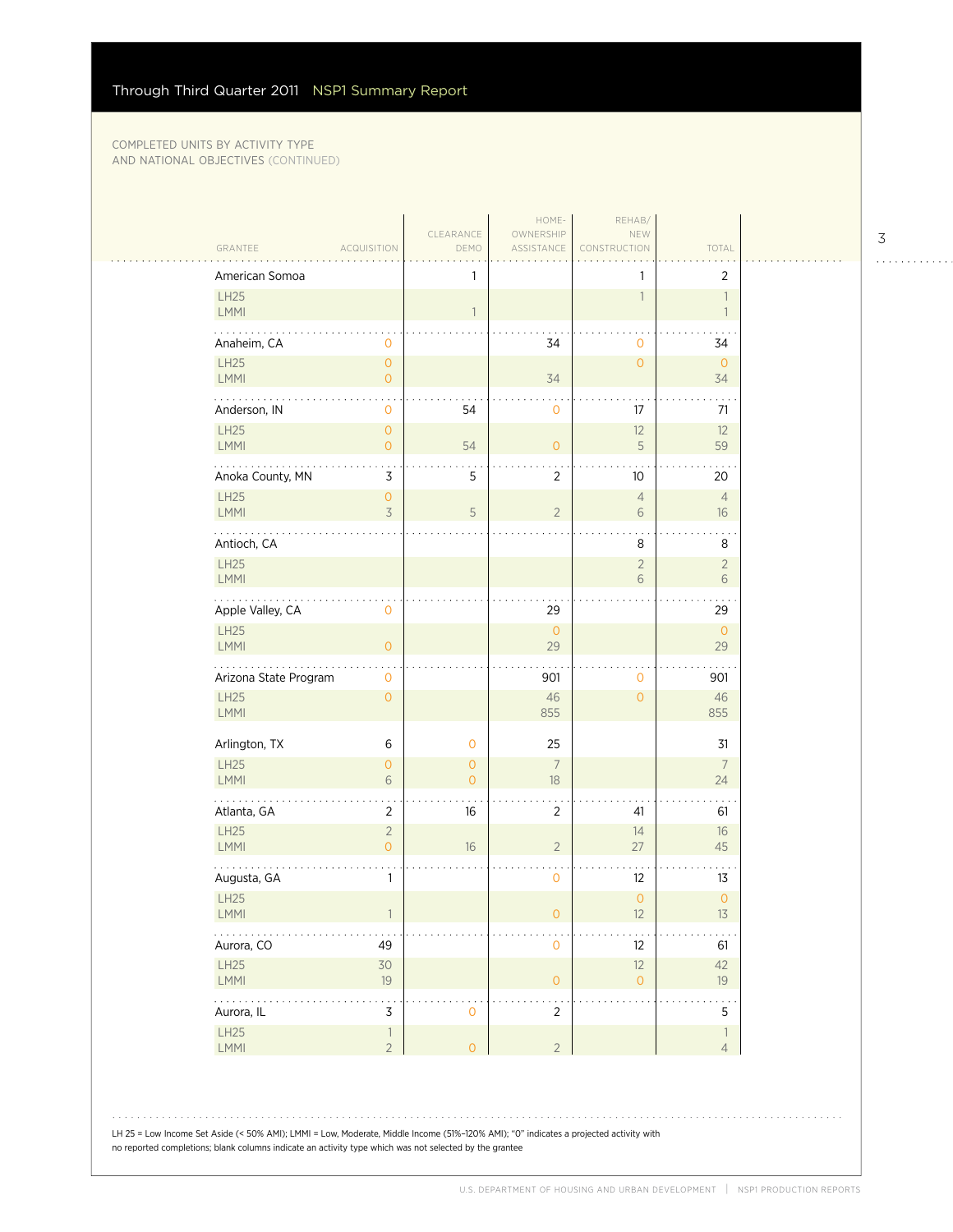| American Somoa        |                                            | 1                              |                      | 1                    | $\overline{2}$                             |
|-----------------------|--------------------------------------------|--------------------------------|----------------------|----------------------|--------------------------------------------|
| LH25<br>LMMI          |                                            | $\overline{1}$                 |                      | $\overline{1}$       | $\overline{\phantom{a}}$<br>$\overline{1}$ |
| Anaheim, CA           | 0                                          |                                | 34                   | 0                    | 34                                         |
| LH25<br>LMMI          | $\mathsf{O}\xspace$<br>$\mathsf O$         |                                | 34                   | $\overline{O}$       | $\overline{0}$<br>34                       |
| Anderson, IN          | $\mathbf 0$                                | 54                             | $\mathbf 0$          | 17                   | 71                                         |
| LH25<br>LMMI          | $\mathsf{O}\xspace$<br>$\circ$             | 54                             | $\overline{0}$       | 12<br>5              | 12<br>59                                   |
| Anoka County, MN      | 3                                          | 5                              | $\overline{2}$       | 10                   | 20                                         |
| LH25<br>LMMI          | $\mathsf{O}\xspace$<br>$\preceq$           | $\mathsf S$                    | $\overline{2}$       | $\overline{4}$<br>6  | $\overline{4}$<br>16                       |
| Antioch, CA           |                                            |                                |                      | 8                    | 8                                          |
| LH25<br>LMMI          |                                            |                                |                      | $\sqrt{2}$<br>6      | $\overline{2}$<br>$\sqrt{6}$               |
| Apple Valley, CA      | $\mathsf{O}\xspace$                        |                                | 29                   |                      | 29                                         |
| LH25<br><b>LMMI</b>   | $\mathsf{O}\xspace$                        |                                | $\mathsf O$<br>29    |                      | $\mathsf O$<br>29                          |
| Arizona State Program | $\mathsf{O}\xspace$                        |                                | 901                  | 0                    | 901                                        |
| LH25<br>LMMI          | $\mathsf{O}\xspace$                        |                                | 46<br>855            | $\overline{0}$       | 46<br>855                                  |
| Arlington, TX         | $\,6$                                      | $\mathbf 0$                    | 25                   |                      | 31                                         |
| LH25<br>LMMI          | $\mathsf{O}\xspace$<br>6                   | $\mathbf{O}$<br>$\overline{O}$ | $\overline{7}$<br>18 |                      | $\overline{7}$<br>24                       |
| Atlanta, GA           | $\overline{c}$                             | 16                             | 2                    | 41                   | 61                                         |
| LH25<br>LMMI          | $\sqrt{2}$<br>$\overline{O}$               | 16                             | $\overline{2}$       | 14<br>27             | $16\,$<br>45                               |
| Augusta, GA           | $\mathbf{1}$                               |                                | $\mathbf 0$          | 12                   | 13                                         |
| LH25<br><b>LMMI</b>   |                                            |                                | O                    | $\overline{O}$<br>12 | $\mathsf{O}\xspace$<br>13                  |
| Aurora, CO            | 49                                         |                                | $\mathbf 0$          | 12                   | 61                                         |
| LH25<br>LMMI          | 30<br>19                                   |                                | $\mathsf O$          | 12<br>$\mathbf{O}$   | 42<br>19                                   |
| .<br>Aurora, IL       | 3                                          | $\mathbf 0$                    | $\overline{2}$       |                      | 5                                          |
| LH25<br>LMMI          | $\overline{\phantom{a}}$<br>$\overline{2}$ | $\overline{O}$                 | $\overline{2}$       |                      | $\mathbf{1}$<br>$\overline{4}$             |

3

. . . . . . . . . . . .

LH 25 = Low Income Set Aside (< 50% AMI); LMMI = Low, Moderate, Middle Income (51%–120% AMI); "0" indicates a projected activity with

no reported completions; blank columns indicate an activity type which was not selected by the grantee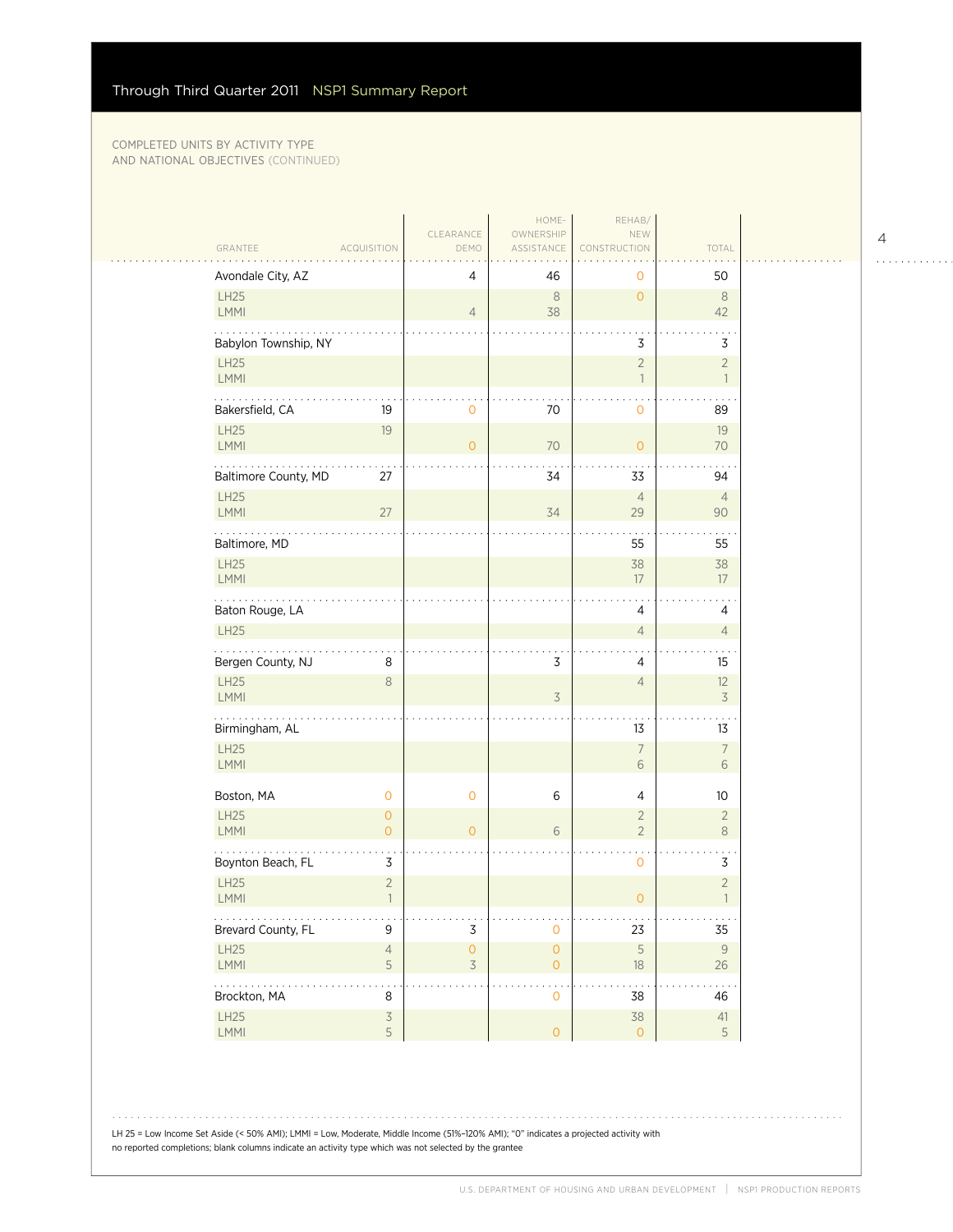| ACQUISITION<br>Avondale City, AZ<br>50<br>4<br>46<br>0<br>LH25<br>$\,8\,$<br>$\overline{0}$<br>$\,8\,$<br>38<br>LMMI<br>$\overline{4}$<br>42<br>Babylon Township, NY<br>3<br>3<br>LH25<br>$\overline{2}$<br>$\overline{2}$<br>LMMI<br>$\overline{\phantom{a}}$<br>$\overline{1}$<br>.<br>Bakersfield, CA<br>70<br>19<br>$\mathbf 0$<br>89<br>$\circ$<br>LH25<br>19<br>19<br>LMMI<br>70<br>$\overline{O}$<br>$\overline{0}$<br>70<br>Baltimore County, MD<br>27<br>34<br>33<br>94<br>LH25<br>$\overline{4}$<br>$\overline{4}$<br>LMMI<br>27<br>34<br>29<br>90<br>55<br>Baltimore, MD<br>55<br>LH25<br>38<br>38<br>LMMI<br>17<br>17<br>Baton Rouge, LA<br>4<br>4<br>LH25<br>$\sqrt{4}$<br>$\overline{4}$<br>Bergen County, NJ<br>3<br>8<br>4<br>15<br>LH25<br>$\,8\,$<br>$\overline{4}$<br>12<br>$\overline{3}$<br>LMMI<br>$\overline{3}$<br>.<br>13<br>Birmingham, AL<br>13<br>LH25<br>$\overline{7}$<br>$\overline{7}$<br>LMMI<br>6<br>6<br>Boston, MA<br>$\mathbf 0$<br>$\mathbf 0$<br>6<br>$\overline{4}$<br>10<br>LH25<br>$\overline{O}$<br>$\overline{2}$<br>$\overline{2}$<br><b>LMMI</b><br>$\circ$<br>6<br>$\overline{2}$<br>$\,8\,$<br>$\overline{0}$<br>Boynton Beach, FL<br>3<br>$\mathbf{O}$<br>3<br>LH25<br>$\overline{c}$<br>$\sqrt{2}$<br>LMMI<br>$\overline{0}$<br>$\overline{1}$<br>$\mathbf{1}$<br>.<br>e e e<br>$\sim$ $\sim$ $\sim$<br>$\mathsf 3$<br>Brevard County, FL<br>9<br>23<br>35<br>0<br>LH25<br>$\mathsf S$<br>$\mathsf{O}\xspace$<br>$\mathsf{O}\xspace$<br>$\overline{4}$<br>3 |           | CLEARANCE | HOME-<br>OWNERSHIP | REHAB/<br>NEW |                         |
|---------------------------------------------------------------------------------------------------------------------------------------------------------------------------------------------------------------------------------------------------------------------------------------------------------------------------------------------------------------------------------------------------------------------------------------------------------------------------------------------------------------------------------------------------------------------------------------------------------------------------------------------------------------------------------------------------------------------------------------------------------------------------------------------------------------------------------------------------------------------------------------------------------------------------------------------------------------------------------------------------------------------------------------------------------------------------------------------------------------------------------------------------------------------------------------------------------------------------------------------------------------------------------------------------------------------------------------------------------------------------------------------------------------------------------------------------------------------------------------------------------------|-----------|-----------|--------------------|---------------|-------------------------|
|                                                                                                                                                                                                                                                                                                                                                                                                                                                                                                                                                                                                                                                                                                                                                                                                                                                                                                                                                                                                                                                                                                                                                                                                                                                                                                                                                                                                                                                                                                               | GRANTEE   | DEMO      | ASSISTANCE         | CONSTRUCTION  | TOTAL                   |
|                                                                                                                                                                                                                                                                                                                                                                                                                                                                                                                                                                                                                                                                                                                                                                                                                                                                                                                                                                                                                                                                                                                                                                                                                                                                                                                                                                                                                                                                                                               |           |           |                    |               |                         |
|                                                                                                                                                                                                                                                                                                                                                                                                                                                                                                                                                                                                                                                                                                                                                                                                                                                                                                                                                                                                                                                                                                                                                                                                                                                                                                                                                                                                                                                                                                               |           |           |                    |               |                         |
|                                                                                                                                                                                                                                                                                                                                                                                                                                                                                                                                                                                                                                                                                                                                                                                                                                                                                                                                                                                                                                                                                                                                                                                                                                                                                                                                                                                                                                                                                                               |           |           |                    |               |                         |
|                                                                                                                                                                                                                                                                                                                                                                                                                                                                                                                                                                                                                                                                                                                                                                                                                                                                                                                                                                                                                                                                                                                                                                                                                                                                                                                                                                                                                                                                                                               |           |           |                    |               |                         |
|                                                                                                                                                                                                                                                                                                                                                                                                                                                                                                                                                                                                                                                                                                                                                                                                                                                                                                                                                                                                                                                                                                                                                                                                                                                                                                                                                                                                                                                                                                               |           |           |                    |               |                         |
|                                                                                                                                                                                                                                                                                                                                                                                                                                                                                                                                                                                                                                                                                                                                                                                                                                                                                                                                                                                                                                                                                                                                                                                                                                                                                                                                                                                                                                                                                                               |           |           |                    |               |                         |
|                                                                                                                                                                                                                                                                                                                                                                                                                                                                                                                                                                                                                                                                                                                                                                                                                                                                                                                                                                                                                                                                                                                                                                                                                                                                                                                                                                                                                                                                                                               |           |           |                    |               |                         |
|                                                                                                                                                                                                                                                                                                                                                                                                                                                                                                                                                                                                                                                                                                                                                                                                                                                                                                                                                                                                                                                                                                                                                                                                                                                                                                                                                                                                                                                                                                               |           |           |                    |               |                         |
|                                                                                                                                                                                                                                                                                                                                                                                                                                                                                                                                                                                                                                                                                                                                                                                                                                                                                                                                                                                                                                                                                                                                                                                                                                                                                                                                                                                                                                                                                                               |           |           |                    |               |                         |
|                                                                                                                                                                                                                                                                                                                                                                                                                                                                                                                                                                                                                                                                                                                                                                                                                                                                                                                                                                                                                                                                                                                                                                                                                                                                                                                                                                                                                                                                                                               |           |           |                    |               |                         |
|                                                                                                                                                                                                                                                                                                                                                                                                                                                                                                                                                                                                                                                                                                                                                                                                                                                                                                                                                                                                                                                                                                                                                                                                                                                                                                                                                                                                                                                                                                               |           |           |                    |               |                         |
|                                                                                                                                                                                                                                                                                                                                                                                                                                                                                                                                                                                                                                                                                                                                                                                                                                                                                                                                                                                                                                                                                                                                                                                                                                                                                                                                                                                                                                                                                                               |           |           |                    |               |                         |
|                                                                                                                                                                                                                                                                                                                                                                                                                                                                                                                                                                                                                                                                                                                                                                                                                                                                                                                                                                                                                                                                                                                                                                                                                                                                                                                                                                                                                                                                                                               |           |           |                    |               |                         |
|                                                                                                                                                                                                                                                                                                                                                                                                                                                                                                                                                                                                                                                                                                                                                                                                                                                                                                                                                                                                                                                                                                                                                                                                                                                                                                                                                                                                                                                                                                               |           |           |                    |               |                         |
|                                                                                                                                                                                                                                                                                                                                                                                                                                                                                                                                                                                                                                                                                                                                                                                                                                                                                                                                                                                                                                                                                                                                                                                                                                                                                                                                                                                                                                                                                                               |           |           |                    |               |                         |
|                                                                                                                                                                                                                                                                                                                                                                                                                                                                                                                                                                                                                                                                                                                                                                                                                                                                                                                                                                                                                                                                                                                                                                                                                                                                                                                                                                                                                                                                                                               |           |           |                    |               |                         |
|                                                                                                                                                                                                                                                                                                                                                                                                                                                                                                                                                                                                                                                                                                                                                                                                                                                                                                                                                                                                                                                                                                                                                                                                                                                                                                                                                                                                                                                                                                               |           |           |                    |               |                         |
|                                                                                                                                                                                                                                                                                                                                                                                                                                                                                                                                                                                                                                                                                                                                                                                                                                                                                                                                                                                                                                                                                                                                                                                                                                                                                                                                                                                                                                                                                                               |           |           |                    |               |                         |
|                                                                                                                                                                                                                                                                                                                                                                                                                                                                                                                                                                                                                                                                                                                                                                                                                                                                                                                                                                                                                                                                                                                                                                                                                                                                                                                                                                                                                                                                                                               |           |           |                    |               |                         |
|                                                                                                                                                                                                                                                                                                                                                                                                                                                                                                                                                                                                                                                                                                                                                                                                                                                                                                                                                                                                                                                                                                                                                                                                                                                                                                                                                                                                                                                                                                               |           |           |                    |               |                         |
|                                                                                                                                                                                                                                                                                                                                                                                                                                                                                                                                                                                                                                                                                                                                                                                                                                                                                                                                                                                                                                                                                                                                                                                                                                                                                                                                                                                                                                                                                                               |           |           |                    |               |                         |
|                                                                                                                                                                                                                                                                                                                                                                                                                                                                                                                                                                                                                                                                                                                                                                                                                                                                                                                                                                                                                                                                                                                                                                                                                                                                                                                                                                                                                                                                                                               | 5<br>LMMI |           | $\overline{O}$     | $18\,$        | $9$<br>$26\,$           |
| .<br>Brockton, MA<br>8<br>38<br>0<br>46                                                                                                                                                                                                                                                                                                                                                                                                                                                                                                                                                                                                                                                                                                                                                                                                                                                                                                                                                                                                                                                                                                                                                                                                                                                                                                                                                                                                                                                                       |           |           |                    |               |                         |
| LH25<br>$\overline{3}$<br>38<br>5<br>LMMI<br>$\overline{O}$<br>$\overline{0}$                                                                                                                                                                                                                                                                                                                                                                                                                                                                                                                                                                                                                                                                                                                                                                                                                                                                                                                                                                                                                                                                                                                                                                                                                                                                                                                                                                                                                                 |           |           |                    |               | $41$<br>$5\phantom{.0}$ |

LH 25 = Low Income Set Aside (< 50% AMI); LMMI = Low, Moderate, Middle Income (51%–120% AMI); "0" indicates a projected activity with no reported completions; blank columns indicate an activity type which was not selected by the grantee

4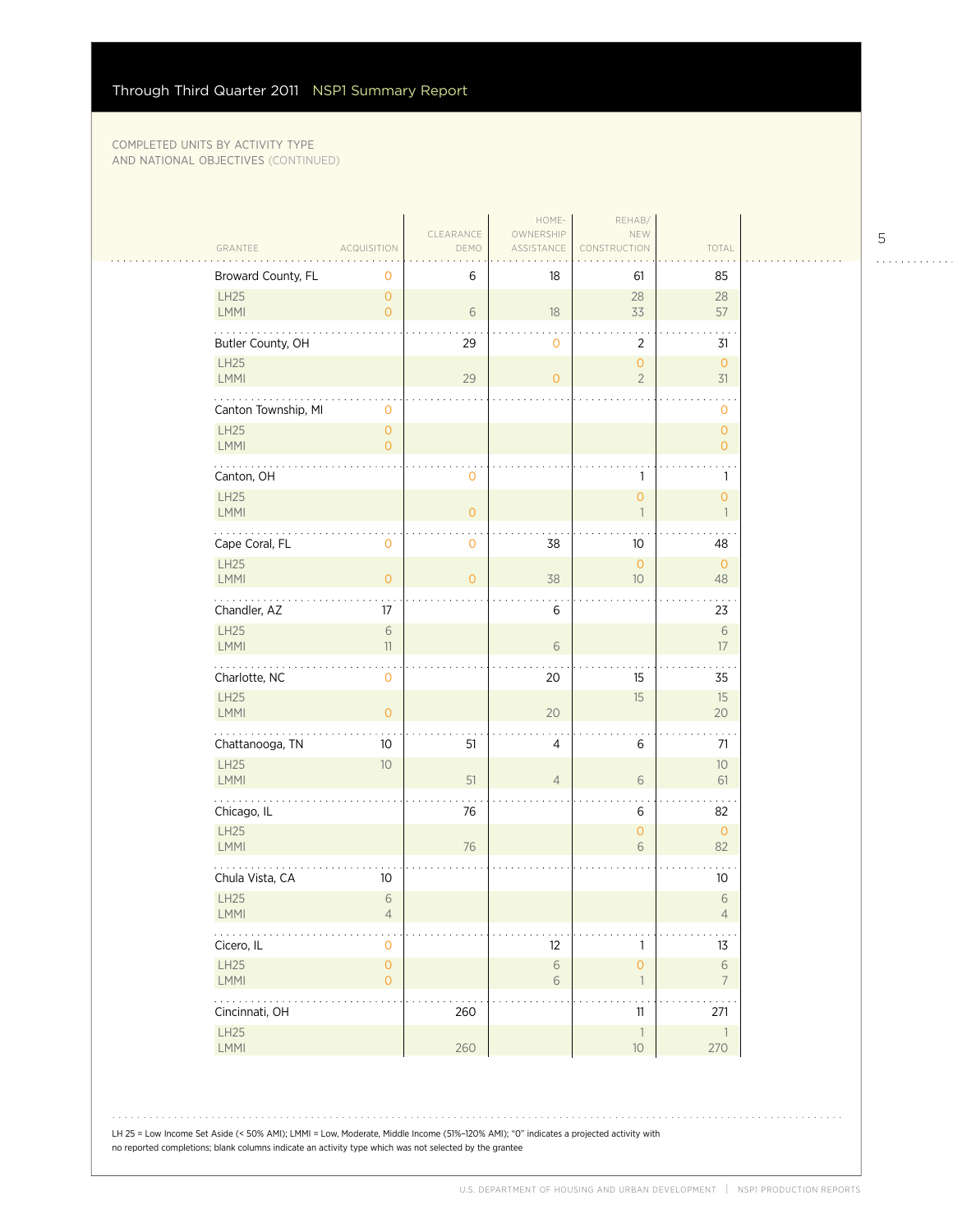| Broward County, FL<br>6<br>18<br>61<br>85<br>0<br>LH25<br>$\overline{O}$<br>28<br>28<br>LMMI<br>6<br>18<br>33<br>57<br>$\overline{O}$<br>Butler County, OH<br>29<br>2<br>0<br>31<br><b>LH25</b><br>$\mathsf O$<br>$\circ$<br>$\overline{c}$<br>LMMI<br>29<br>31<br>$\overline{O}$<br>Canton Township, MI<br>0<br>0<br>LH25<br>$\overline{0}$<br>$\mathbf{O}$<br>LMMI<br>0<br>$\mathbf{O}$<br>Canton, OH<br>0<br>1<br>1 |  |
|------------------------------------------------------------------------------------------------------------------------------------------------------------------------------------------------------------------------------------------------------------------------------------------------------------------------------------------------------------------------------------------------------------------------|--|
|                                                                                                                                                                                                                                                                                                                                                                                                                        |  |
|                                                                                                                                                                                                                                                                                                                                                                                                                        |  |
|                                                                                                                                                                                                                                                                                                                                                                                                                        |  |
|                                                                                                                                                                                                                                                                                                                                                                                                                        |  |
|                                                                                                                                                                                                                                                                                                                                                                                                                        |  |
|                                                                                                                                                                                                                                                                                                                                                                                                                        |  |
|                                                                                                                                                                                                                                                                                                                                                                                                                        |  |
| LH25<br>$\mathbf{O}$<br>$\overline{O}$<br>LMMI<br>$\circ$<br>$\mathbf{1}$<br>$\overline{1}$                                                                                                                                                                                                                                                                                                                            |  |
| Cape Coral, FL<br>0<br>38<br>10<br>0<br>48                                                                                                                                                                                                                                                                                                                                                                             |  |
| LH25<br>$\circ$<br>$\overline{0}$<br><b>LMMI</b><br>$\overline{0}$<br>$\overline{O}$<br>38<br>10<br>48                                                                                                                                                                                                                                                                                                                 |  |
| .<br>Chandler, AZ<br>17<br>6<br>23                                                                                                                                                                                                                                                                                                                                                                                     |  |
| LH25<br>$\sqrt{6}$<br>6<br>LMMI<br>11<br>6<br>17                                                                                                                                                                                                                                                                                                                                                                       |  |
| Charlotte, NC<br>20<br>0<br>15<br>35                                                                                                                                                                                                                                                                                                                                                                                   |  |
| LH25<br>15<br>15<br>20<br>LMMI<br>$\overline{O}$<br>20                                                                                                                                                                                                                                                                                                                                                                 |  |
| .<br>Chattanooga, TN<br>51<br>10<br>4<br>6<br>71                                                                                                                                                                                                                                                                                                                                                                       |  |
| LH25<br>10<br>10<br><b>LMMI</b><br>51<br>$\overline{4}$<br>6<br>61                                                                                                                                                                                                                                                                                                                                                     |  |
| Chicago, IL<br>76<br>6<br>82                                                                                                                                                                                                                                                                                                                                                                                           |  |
| <b>LH25</b><br>$\overline{0}$<br>$\overline{O}$<br><b>LMMI</b><br>76<br>82<br>6                                                                                                                                                                                                                                                                                                                                        |  |
| Chula Vista, CA<br>10<br>10                                                                                                                                                                                                                                                                                                                                                                                            |  |
| LH25<br>6<br>$6\,$<br>LMMI<br>$\overline{4}$<br>$\overline{4}$                                                                                                                                                                                                                                                                                                                                                         |  |
| .<br>$\overline{O}$<br>Cicero, IL<br>12<br>1<br>13                                                                                                                                                                                                                                                                                                                                                                     |  |
| $\mathsf{O}\xspace$<br>LH25<br>$\,$ $\,$ $\,$<br>$\circ$<br>$\sqrt{6}$<br>LMMI<br>$\overline{0}$<br>$6\,$<br>$\overline{7}$<br>$\overline{\phantom{a}}$                                                                                                                                                                                                                                                                |  |
| 1.1.1.1.1<br>. .<br>$\sim$ $\sim$ $\sim$<br>Cincinnati, OH<br>260<br>11<br>271                                                                                                                                                                                                                                                                                                                                         |  |
| LH25<br>$\mathbbm{1}$<br>$\overline{\phantom{a}}$<br>260<br>LMMI<br>$10$<br>270                                                                                                                                                                                                                                                                                                                                        |  |

LH 25 = Low Income Set Aside (< 50% AMI); LMMI = Low, Moderate, Middle Income (51%–120% AMI); "0" indicates a projected activity with no reported completions; blank columns indicate an activity type which was not selected by the grantee

5

. . . . . . . . . . . .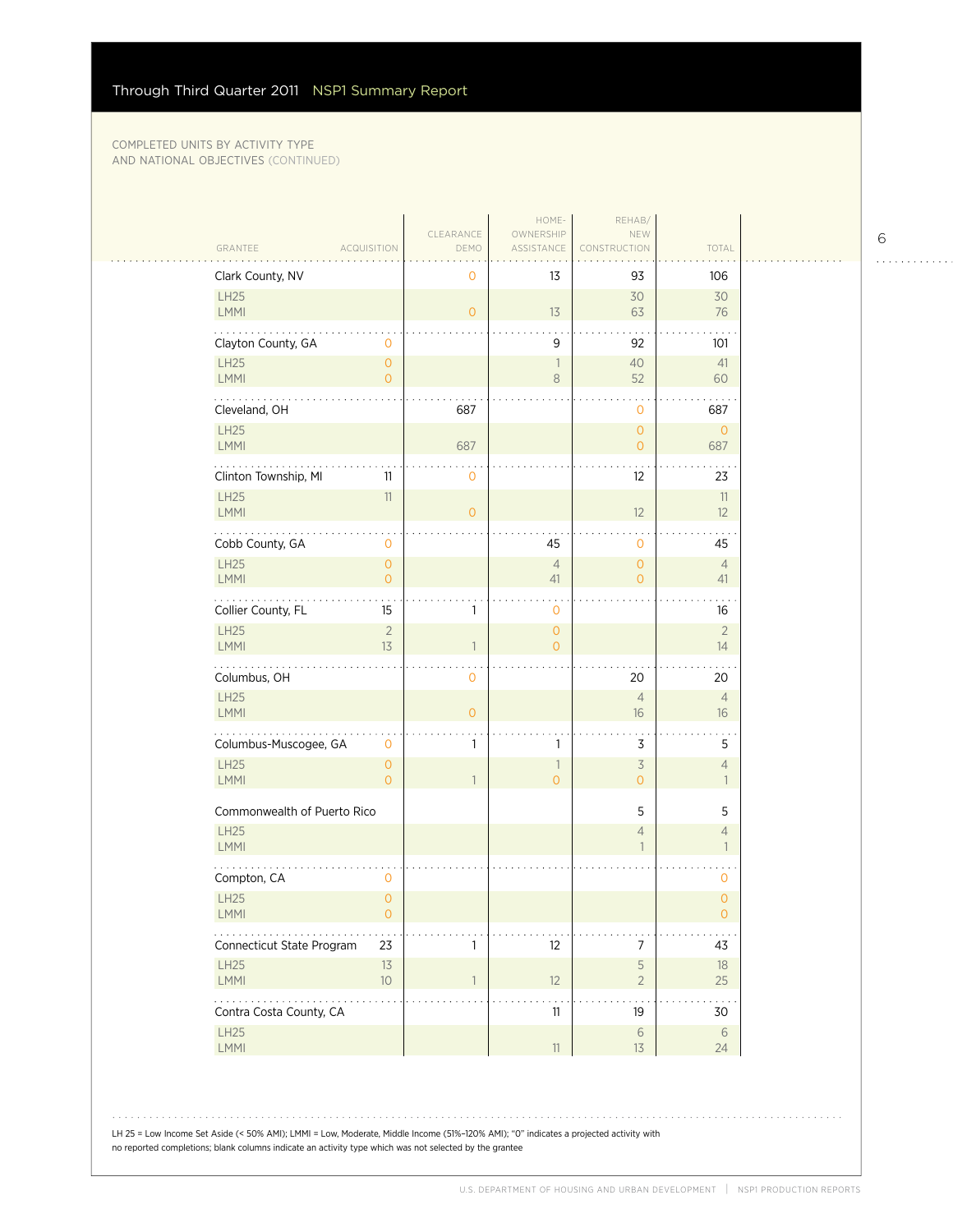$\sim$  . . .

|                                                       | CLEARANCE      | HOME-<br>OWNERSHIP                  | REHAB/<br>NEW                    |                                |
|-------------------------------------------------------|----------------|-------------------------------------|----------------------------------|--------------------------------|
| GRANTEE<br><b>ACQUISITION</b>                         | DEMO           | ASSISTANCE                          | CONSTRUCTION                     | TOTAL                          |
| Clark County, NV                                      | 0              | 13                                  | 93                               | 106                            |
| LH25<br>LMMI                                          | $\overline{O}$ | $13$                                | 30<br>63                         | 30<br>76                       |
| Clayton County, GA<br>0                               |                | 9                                   | 92                               | 101                            |
| LH25<br>$\mathsf{O}\xspace$<br>LMMI<br>$\overline{0}$ |                | 1<br>$\,8\,$                        | 40<br>52                         | 41<br>60                       |
| .<br>Cleveland, OH                                    | 687            |                                     | $\mathbf{0}$                     | 687                            |
| LH25<br><b>LMMI</b>                                   | 687            |                                     | $\circ$<br>$\overline{O}$        | $\mathbf{0}$<br>687            |
| Clinton Township, MI<br>11                            | 0              |                                     | $12 \overline{ }$                | 23                             |
| <b>LH25</b><br>11<br><b>LMMI</b>                      | $\overline{0}$ |                                     | 12                               | 11<br>12                       |
| Cobb County, GA<br>0                                  |                | 45                                  | $\mathbf{0}$                     | 45                             |
| LH25<br>$\mathsf{O}\xspace$<br>LMMI<br>$\overline{0}$ |                | $\sqrt{4}$<br>41                    | $\overline{0}$<br>$\overline{O}$ | $\overline{4}$<br>41           |
| Collier County, FL<br>15                              | 1              | $\mathbf 0$                         |                                  | 16                             |
| $\overline{2}$<br>LH25<br><b>LMMI</b><br>13           | 1              | $\mathsf{O}\xspace$<br>$\mathbf{O}$ |                                  | $\overline{2}$<br>14           |
| Columbus, OH                                          | 0              |                                     | 20                               | 20                             |
| LH25<br>LMMI                                          | $\overline{O}$ |                                     | $\overline{4}$<br>16             | $\overline{4}$<br>16           |
| Columbus-Muscogee, GA<br>0                            | 1              | 1                                   | 3                                | 5                              |
| LH25<br>$\mathsf{O}\xspace$<br>LMMI<br>$\Omega$       | $\mathbf{1}$   | $\mathbf{1}$<br>$\overline{O}$      | 3<br>$\overline{O}$              | $\overline{4}$<br>$\mathbf{1}$ |
| Commonwealth of Puerto Rico                           |                |                                     | 5                                | 5                              |
| LH25<br><b>LMMI</b>                                   |                |                                     | $\overline{4}$<br>$\mathbf{1}$   | 4<br>$\mathbf{1}$              |
| .<br>Compton, CA<br>$\mathbf 0$                       |                |                                     |                                  | $\mathbf 0$                    |
| LH25<br>$\overline{0}$<br>$\mathsf{LMMI}$<br>$\cup$   |                |                                     |                                  | $\mathbf{O}$<br>$\cup$         |
| Connecticut State Program<br>23                       | 1              | 12                                  | 7                                | 43                             |
| LH25<br>13<br>LMMI<br>$10$                            | $\mathbf{1}$   | 12                                  | 5<br>$\overline{2}$              | 18<br>25                       |
| Contra Costa County, CA                               |                | 11                                  | 19                               | 30                             |
| LH25<br>LMMI                                          |                | $11\,$                              | $\sqrt{6}$<br>13                 | $6\,$<br>24                    |
|                                                       |                |                                     |                                  |                                |

6 . . . . . . . . . . . .

LH 25 = Low Income Set Aside (< 50% AMI); LMMI = Low, Moderate, Middle Income (51%–120% AMI); "0" indicates a projected activity with no reported completions; blank columns indicate an activity type which was not selected by the grantee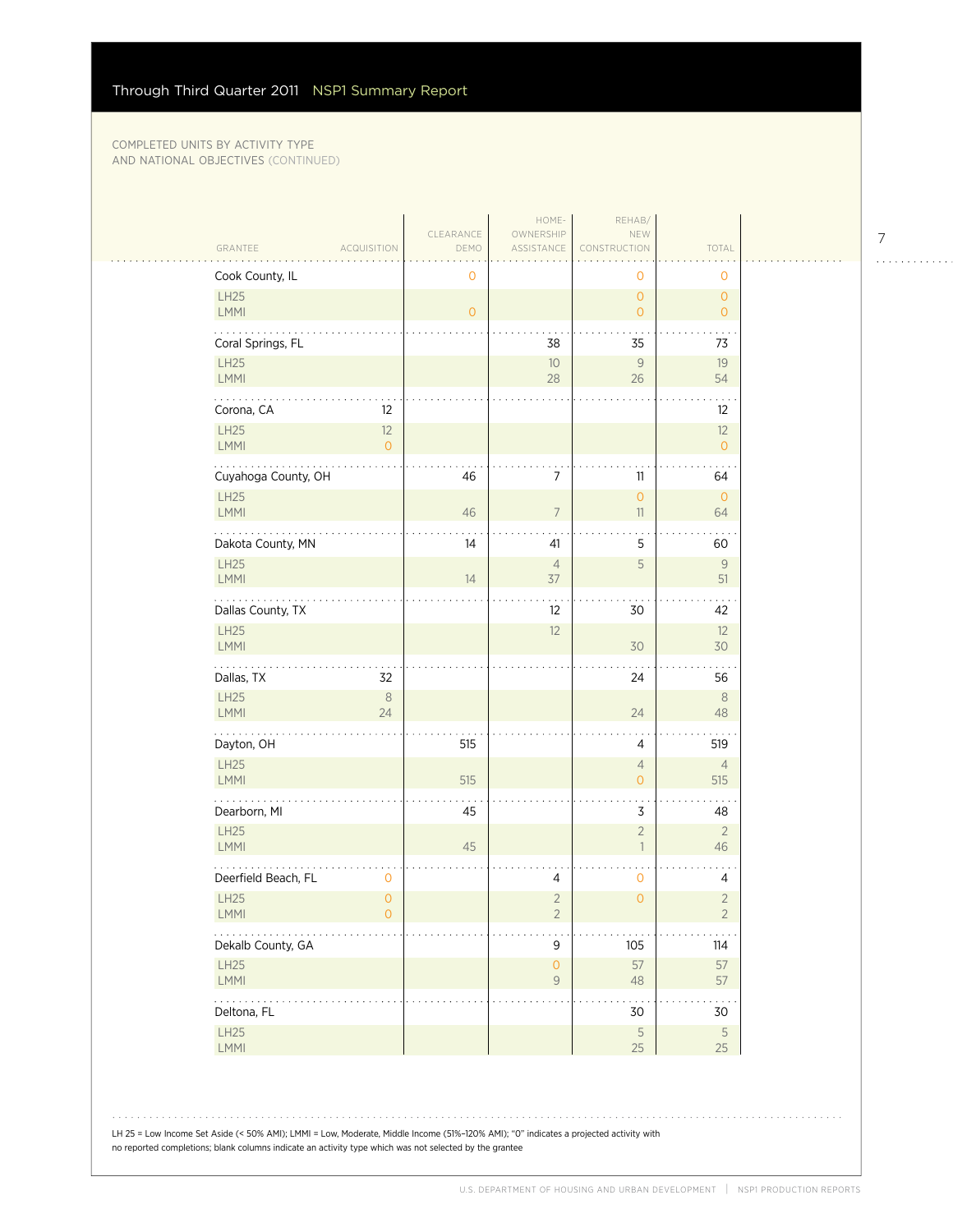$\sim$  . . . .

|                            |                      | CLEARANCE | HOME-<br>OWNERSHIP           | REHAB/<br>NEW                  |                                  |
|----------------------------|----------------------|-----------|------------------------------|--------------------------------|----------------------------------|
| GRANTEE                    | <b>ACQUISITION</b>   | DEMO      | ASSISTANCE                   | CONSTRUCTION                   | TOTAL                            |
| Cook County, IL            |                      | 0         |                              | 0                              | $\mathbf{O}$                     |
| LH25<br><b>LMMI</b>        |                      | $\circ$   |                              | $\overline{O}$<br>$\mathbf{O}$ | $\circ$<br>$\overline{O}$        |
| Coral Springs, FL          |                      |           | 38                           | 35                             | 73                               |
| LH25<br>LMMI               |                      |           | 10<br>28                     | $\mathcal G$<br>26             | 19<br>54                         |
| .<br>Corona, CA            | 12                   |           |                              |                                | 12                               |
| <b>LH25</b><br>LMMI        | 12<br>$\overline{0}$ |           |                              |                                | 12<br>$\overline{0}$             |
| Cuyahoga County, OH        |                      | 46        | 7                            | 11                             | 64                               |
| <b>LH25</b><br><b>LMMI</b> |                      | 46        | $\overline{\phantom{a}}$     | $\mathbf{O}$<br>11             | $\circ$<br>64                    |
| Dakota County, MN          |                      | 14        | 41                           | 5                              | 60                               |
| <b>LH25</b><br>LMMI        |                      | 14        | $\overline{4}$<br>37         | 5                              | 9<br>51                          |
| Dallas County, TX          |                      |           | 12                           | 30                             | 42                               |
| <b>LH25</b><br><b>LMMI</b> |                      |           | 12                           | 30                             | 12<br>30                         |
| Dallas, TX                 | 32                   |           |                              | 24                             | 56                               |
| LH25<br><b>LMMI</b>        | $\,8\,$<br>24        |           |                              | 24                             | 8<br>48                          |
| .<br>Dayton, OH            |                      | 515       |                              | 4                              | 519                              |
| LH25<br><b>LMMI</b>        |                      | 515       |                              | $\overline{4}$<br>$\mathbf{O}$ | $\overline{4}$<br>515            |
| Dearborn, MI               |                      | 45        |                              | 3                              | 48                               |
| <b>LH25</b><br><b>LMMI</b> |                      | 45        |                              | $\sqrt{2}$<br>$\overline{1}$   | $\overline{2}$<br>46             |
| Deerfield Beach, FL        | 0                    |           | 4                            | 0                              | 4                                |
| <b>LH25</b><br><b>LMMI</b> | $\overline{O}$<br>0  |           | $\sqrt{2}$<br>$\overline{2}$ | $\overline{O}$                 | $\overline{2}$<br>$\overline{2}$ |
| Dekalb County, GA          |                      |           | $\mathsf 9$                  | 105                            | $114$                            |
| LH25<br>LMMI               |                      |           | $\mathsf O$<br>$\mathsf{9}$  | 57<br>$48\,$                   | 57<br>57                         |
| .<br>Deltona, FL           |                      |           |                              | $30\,$                         | 30                               |
| <b>LH25</b><br>LMMI        |                      |           |                              | $\sqrt{5}$<br>25               | $\sqrt{5}$<br>25                 |

LH 25 = Low Income Set Aside (< 50% AMI); LMMI = Low, Moderate, Middle Income (51%–120% AMI); "0" indicates a projected activity with no reported completions; blank columns indicate an activity type which was not selected by the grantee

7

 $1.1.1.1.1.1.1.1.1.1$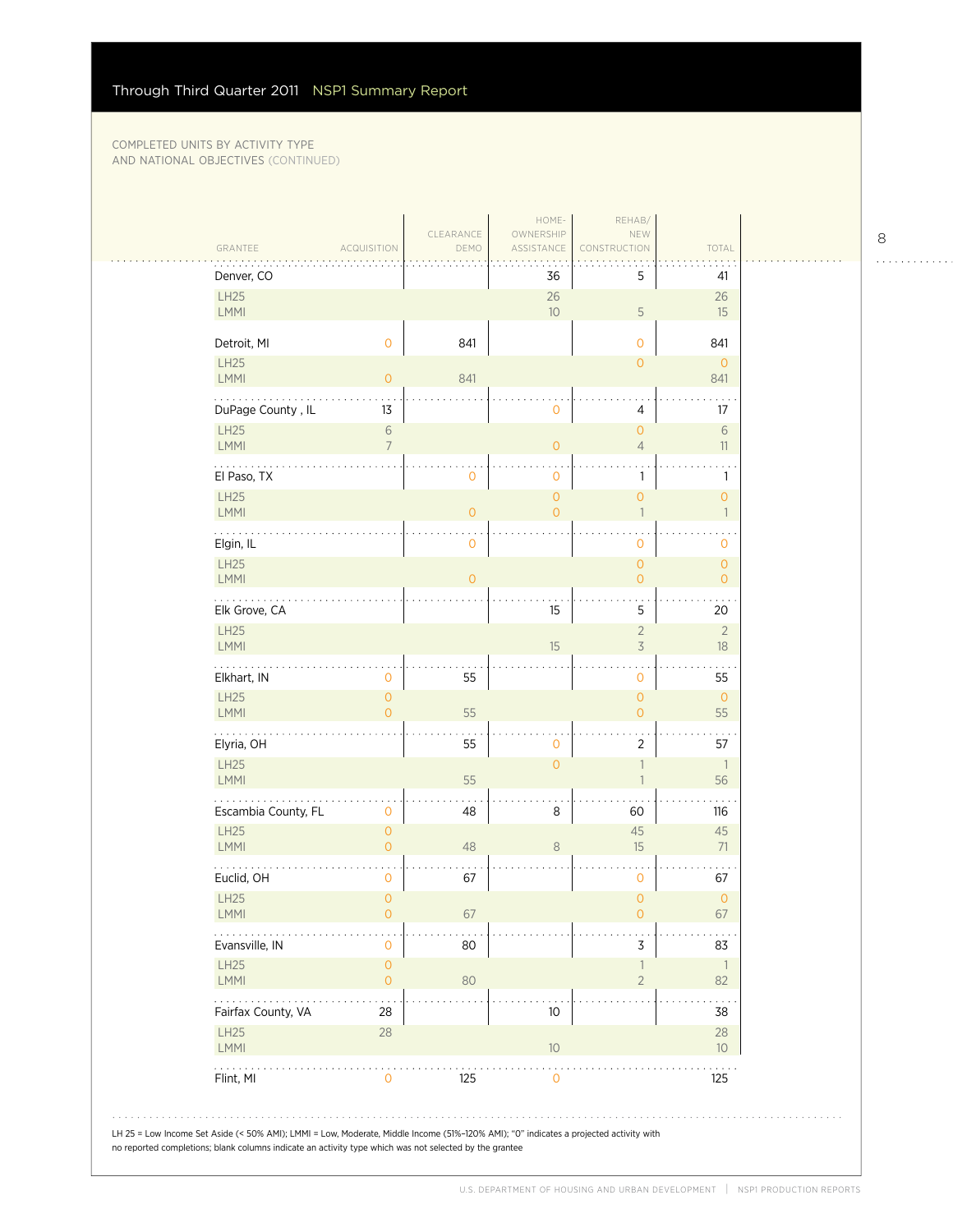| GRANTEE                                           | <b>ACQUISITION</b>                    | CLEARANCE<br>DEMO | OWNERSHIP<br>ASSISTANCE<br><b>The Co</b> | NEW<br>CONSTRUCTION                        | TOTAL                                 |
|---------------------------------------------------|---------------------------------------|-------------------|------------------------------------------|--------------------------------------------|---------------------------------------|
| Denver, CO                                        |                                       |                   | 36                                       | 5                                          | 41                                    |
| LH25<br>LMMI                                      |                                       |                   | 26<br>10 <sup>°</sup>                    | $\mathsf S$                                | 26<br>15                              |
| Detroit, MI                                       | $\mathsf{O}\xspace$                   | 841               |                                          | $\mathbf 0$                                | 841                                   |
| LH25<br>LMMI                                      | $\mathsf{O}\xspace$                   | 841               |                                          | $\mathbf{O}$                               | $\overline{0}$<br>841                 |
| .<br>DuPage County, IL                            | 13                                    |                   | $\mathbf 0$                              | 4                                          | 17                                    |
| LH25<br>LMMI                                      | $\sqrt{6}$<br>$\overline{7}$          |                   | $\mathbf{O}$                             | $\overline{0}$<br>$\overline{4}$           | $\,$ $\,$ $\,$<br>11                  |
| El Paso, TX                                       |                                       | $\mathbf 0$       | $\mathbf 0$                              | 1                                          | $\ddot{\phantom{1}}$<br>$\mathbf{1}$  |
| LH25<br>LMMI                                      |                                       | $\mathsf O$       | $\mathbf{O}$<br>$\overline{O}$           | $\mathsf{O}\xspace$<br>$\overline{1}$      | $\mathsf{O}\xspace$<br>$\overline{1}$ |
| Elgin, IL                                         |                                       | $\mathbf 0$       |                                          | $\mathbf 0$                                | 0                                     |
| LH25<br>LMMI                                      |                                       | $\overline{0}$    |                                          | $\overline{0}$<br>$\mathbf{O}$             | $\circ$<br>$\mathbf{O}$               |
| .<br>Elk Grove, CA                                |                                       |                   | 15                                       | 5                                          | 20                                    |
| LH25<br>LMMI                                      |                                       |                   | 15                                       | $\sqrt{2}$<br>$\overline{\mathcal{S}}$     | $\overline{2}$<br>18                  |
| Elkhart, IN                                       | $\mathsf{O}\xspace$                   | 55                |                                          | $\mathsf{O}\xspace$                        | $\sim$ $\sim$ $\sim$<br>55            |
| LH25<br>LMMI                                      | $\mathsf O$<br>$\overline{O}$         | 55                |                                          | $\mathsf{O}\xspace$<br>$\mathsf{O}\xspace$ | $\circ$<br>55                         |
| .<br>Elyria, OH                                   |                                       | 55                | $\mathbf 0$                              | $\overline{2}$                             | 57                                    |
| LH25<br><b>LMMI</b>                               |                                       | 55                | $\overline{O}$                           | $\mathbf{1}$<br>$\mathbf{1}$               | $\overline{\phantom{a}}$<br>56        |
| Escambia County, FL                               | 0                                     | 48                | 8                                        | 60                                         | 116                                   |
| LH25<br>LMMI                                      | $\mathsf{O}\xspace$<br>$\overline{0}$ | 48                | $\,8\,$                                  | 45<br>15                                   | 45<br>71                              |
| Euclid, OH                                        | 0                                     | 67                |                                          | $\mathbf 0$                                | 67                                    |
| LH25<br><b>LMMI</b>                               | $\mathsf{O}\xspace$<br>0              | 67                |                                          | $\mathsf{O}\xspace$<br>0                   | $\mathsf{O}\xspace$<br>67             |
| Evansville, IN                                    | 0                                     | 80                |                                          | 3                                          | 83                                    |
| LH25<br>LMMI                                      | $\mathsf O$<br>$\mathsf{O}\xspace$    | 80                |                                          | $\mathbf{1}$<br>$\sqrt{2}$                 | $\overline{1}$<br>82                  |
| $\sim$ $\sim$ $\sim$ $\sim$<br>Fairfax County, VA | 28                                    |                   | 10                                       |                                            | 38                                    |
| LH25<br>LMMI                                      | 28                                    |                   | $10$                                     |                                            | 28<br>10 <sup>°</sup>                 |
| Flint, MI                                         | $\mathbf 0$                           | 125               | $\mathbf 0$                              |                                            | 125                                   |

8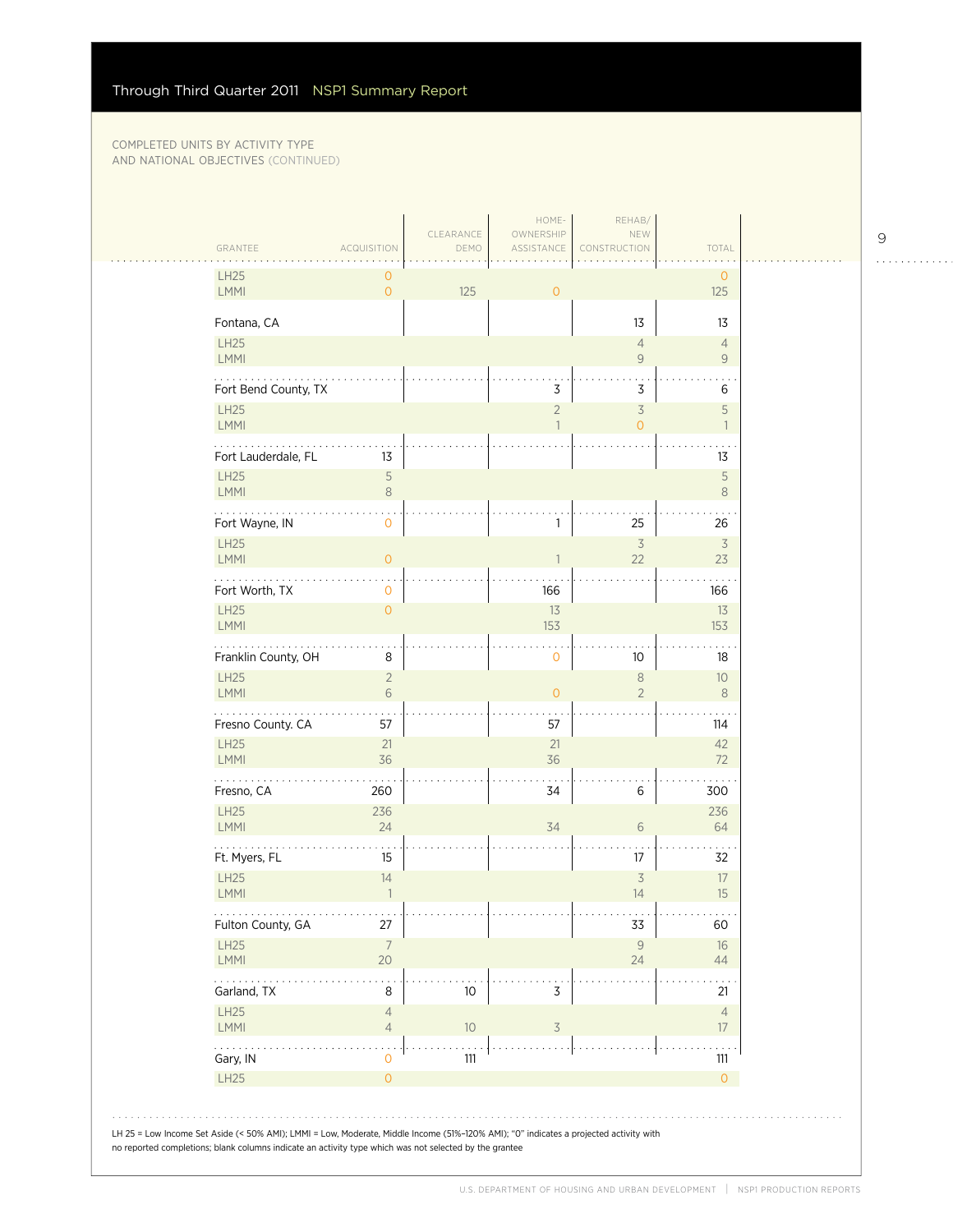| GRANTEE                    | <b>ACQUISITION</b>               | CLEARANCE<br>DEMO | OWNERSHIP<br>ASSISTANCE        | NEW<br>CONSTRUCTION                             | TOTAL                            |
|----------------------------|----------------------------------|-------------------|--------------------------------|-------------------------------------------------|----------------------------------|
| <b>LH25</b><br>LMMI        | 0<br>$\overline{O}$              | 125               | $\overline{0}$                 |                                                 | $\mathbf{O}$<br>125              |
| Fontana, CA                |                                  |                   |                                | 13                                              | 13                               |
| LH25<br>LMMI               |                                  |                   |                                | $\overline{4}$<br>$\mathsf 9$                   | $\overline{4}$<br>$\overline{9}$ |
| .<br>Fort Bend County, TX  |                                  |                   | 3                              | 3                                               | 6                                |
| <b>LH25</b><br>LMMI        |                                  |                   | $\overline{2}$<br>$\mathbf{1}$ | $\overline{\mathcal{S}}$<br>$\mathsf{O}\xspace$ | 5<br>$\mathbf{1}$                |
| Fort Lauderdale, FL        | 13                               |                   |                                |                                                 | 13                               |
| <b>LH25</b><br>LMMI        | 5<br>8                           |                   |                                |                                                 | 5<br>$\,8\,$                     |
| Fort Wayne, IN             | 0                                |                   | 1                              | 25                                              | 26                               |
| <b>LH25</b><br>LMMI        | $\overline{O}$                   |                   | 1                              | $\overline{\mathcal{S}}$<br>22                  | $\overline{3}$<br>23             |
| Fort Worth, TX             | 0                                |                   | 166                            |                                                 | 166                              |
| <b>LH25</b><br>LMMI        | $\overline{0}$                   |                   | 13<br>153                      |                                                 | $13$<br>153                      |
| Franklin County, OH        | 8                                |                   | $\mathbf 0$                    | 10 <sup>°</sup>                                 | 18                               |
| <b>LH25</b><br>LMMI        | $\overline{2}$<br>6              |                   | $\circ$                        | $\,8\,$<br>$\overline{2}$                       | 10<br>$\,8\,$                    |
| .<br>Fresno County. CA     | 57                               |                   | 57                             |                                                 | 114                              |
| <b>LH25</b><br><b>LMMI</b> | 21<br>36                         |                   | 21<br>36                       |                                                 | 42<br>72                         |
| Fresno, CA                 | 260                              |                   | 34                             | 6                                               | 300                              |
| <b>LH25</b><br>LMMI        | 236<br>24                        |                   | 34                             | $\sqrt{6}$                                      | 236<br>64                        |
| Ft. Myers, FL              | 15                               |                   |                                | 17                                              | 32                               |
| <b>LH25</b><br>LMMI        | 14<br>$\overline{1}$             |                   |                                | $\overline{\mathcal{S}}$<br>14                  | 17<br>15                         |
| Fulton County, GA          | 27                               |                   |                                | 33                                              | 60                               |
| LH25<br>LMMI               | $\overline{7}$<br>20             |                   |                                | $\mathcal{G}$<br>24                             | 16<br>44                         |
| Garland, TX                | 8                                | 10                | 3                              |                                                 | 21                               |
| LH25<br>LMMI               | $\overline{4}$<br>$\overline{4}$ | $10$              | $\mathsf 3$                    |                                                 | $\overline{4}$<br>17             |
| .<br>Gary, IN              | 0                                | 111               |                                |                                                 | $\ddotsc$<br>111                 |
| LH25                       | $\mathsf{O}\xspace$              |                   |                                |                                                 | $\overline{O}$                   |

9

. . . . . . . . . . . .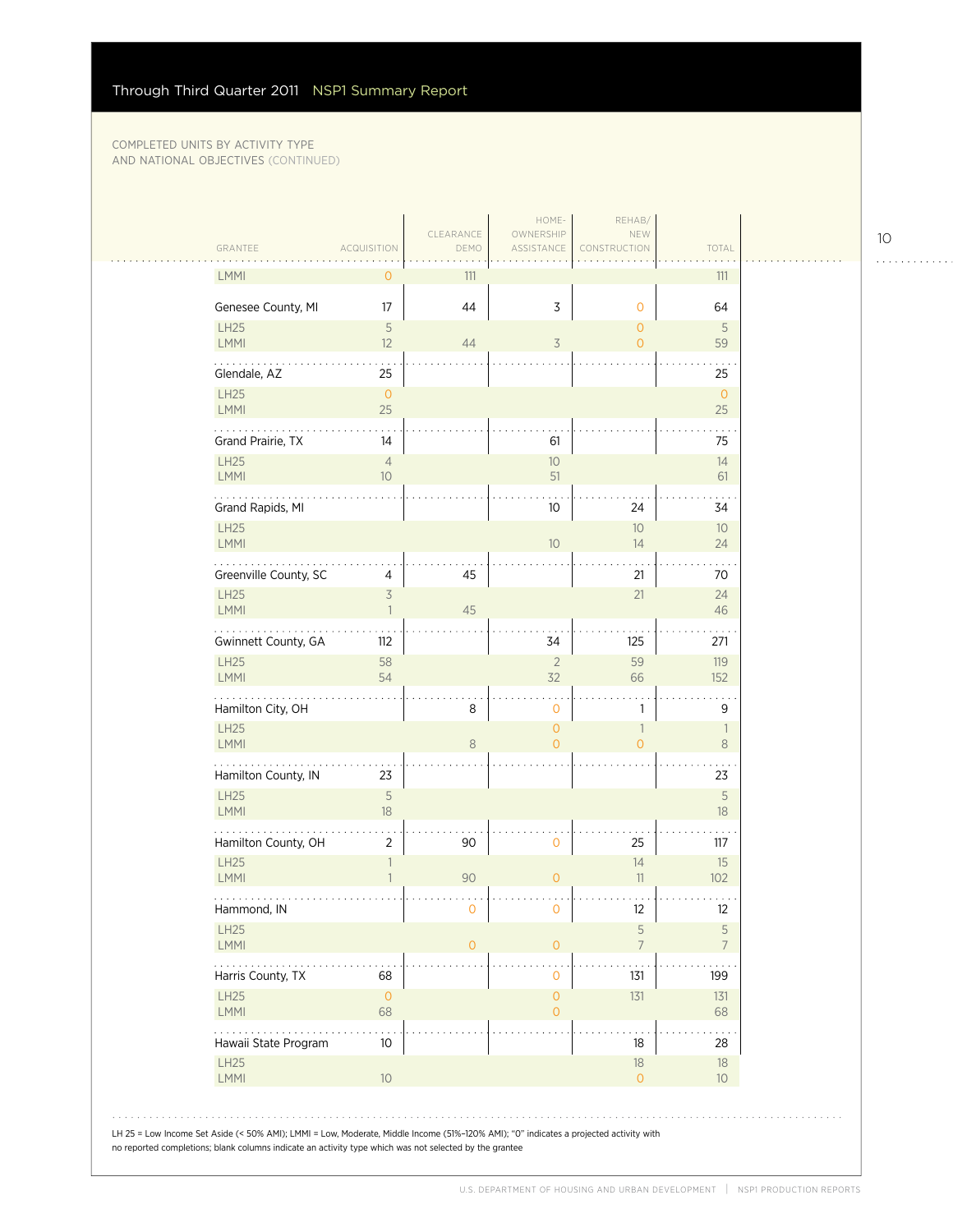| GRANTEE                    | <b>ACQUISITION</b>                         | CLEARANCE<br>DEMO | OWNERSHIP<br>ASSISTANCE          | NEW<br>CONSTRUCTION            | TOTAL                               |
|----------------------------|--------------------------------------------|-------------------|----------------------------------|--------------------------------|-------------------------------------|
| <b>LMMI</b>                | 0                                          | 111               |                                  |                                | 111                                 |
| Genesee County, MI         | 17                                         | 44                | $\mathsf 3$                      | $\mathbf 0$                    | 64                                  |
| <b>LH25</b><br>LMMI        | 5<br>12                                    | 44                | $\overline{\mathcal{S}}$         | $\mathbf{O}$<br>$\overline{O}$ | 5<br>59                             |
| Glendale, AZ               | 25                                         |                   |                                  |                                | 25                                  |
| <b>LH25</b><br><b>LMMI</b> | $\overline{0}$<br>25                       |                   |                                  |                                | $\circ$<br>25                       |
| Grand Prairie, TX          | 14                                         |                   | 61                               |                                | 75                                  |
| <b>LH25</b><br>LMMI        | $\overline{4}$<br>10                       |                   | 10<br>51                         |                                | 14<br>61                            |
| Grand Rapids, MI           |                                            |                   | 10                               | 24                             | 34                                  |
| <b>LH25</b><br>LMMI        |                                            |                   | 10                               | 10<br>14                       | 10<br>24                            |
| Greenville County, SC      | 4                                          | 45                |                                  | 21                             | 70                                  |
| <b>LH25</b><br><b>LMMI</b> | $\overline{\mathcal{S}}$<br>$\overline{1}$ | 45                |                                  | 21                             | 24<br>46                            |
| Gwinnett County, GA        | 112                                        |                   | 34                               | 125                            | 271                                 |
| <b>LH25</b><br>LMMI        | 58<br>54                                   |                   | $\overline{2}$<br>32             | 59<br>66                       | 119<br>152                          |
| Hamilton City, OH          |                                            | 8                 | 0                                | 1                              | 9                                   |
| <b>LH25</b><br>LMMI        |                                            | 8                 | $\overline{0}$<br>$\overline{0}$ | 1<br>$\overline{0}$            | $\overline{\phantom{a}}$<br>$\,8\,$ |
| Hamilton County, IN        | 23                                         |                   |                                  |                                | 23                                  |
| <b>LH25</b><br><b>LMMI</b> | $\mathsf S$<br>18                          |                   |                                  |                                | 5<br>18                             |
| Hamilton County, OH        | $\overline{2}$                             | 90                | 0                                | 25                             | 117                                 |
| <b>LH25</b><br>LMMI        | $\mathbf{1}$<br>$\mathbf{1}$               | 90                | $\mathbf{0}$                     | 14<br>11                       | 15<br>102                           |
| Hammond, IN                |                                            | $\cap$            |                                  | 12                             | 12                                  |
| LH25<br>LMMI               |                                            | $\circ$           | $\overline{O}$                   | 5<br>$\overline{7}$            | 5<br>$\overline{7}$                 |
| .<br>Harris County, TX     | 68                                         |                   | 0                                | 131                            | 199                                 |
| LH25<br><b>LMMI</b>        | $\circ$<br>68                              |                   | $\mathbf 0$<br>$\overline{0}$    | 131                            | 131<br>68                           |
| Hawaii State Program       | 10                                         |                   |                                  | 18                             | 28                                  |
| <b>LH25</b>                | 10                                         |                   |                                  | 18<br>$\overline{0}$           | 18<br>10 <sup>°</sup>               |

10

. . . . . . . . . . . .

 $\mathcal{L}$ 

 $\bar{\psi}$  .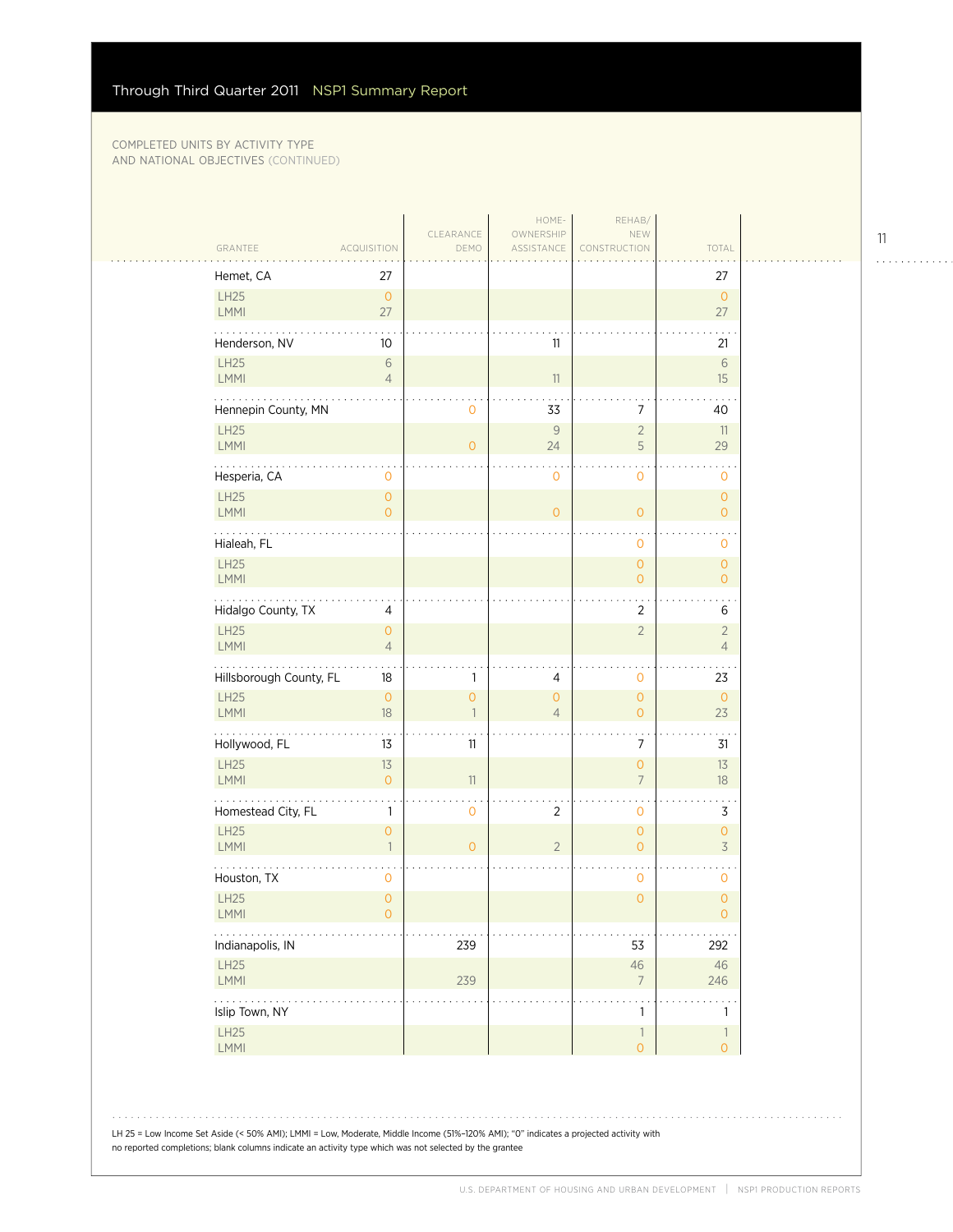$\sim$  .

| GRANTEE                    | <b>ACQUISITION</b>               | CLEARANCE<br>DEMO         | HOME-<br>OWNERSHIP<br>ASSISTANCE | REHAB/<br>NEW<br>CONSTRUCTION         | TOTAL                                 |
|----------------------------|----------------------------------|---------------------------|----------------------------------|---------------------------------------|---------------------------------------|
|                            |                                  |                           |                                  |                                       |                                       |
| Hemet, CA<br>LH25<br>LMMI  | 27<br>$\circ$<br>27              |                           |                                  |                                       | 27<br>$\overline{0}$<br>27            |
| Henderson, NV              | 10                               |                           | 11                               |                                       | 21                                    |
| LH25<br>LMMI               | $\,$ $\,$ $\,$<br>$\overline{4}$ |                           | 11                               |                                       | $6\,$<br>15                           |
| Hennepin County, MN        |                                  | $\mathbf 0$               | 33                               | $\overline{7}$                        | 40                                    |
| <b>LH25</b><br>LMMI        |                                  | $\circ$                   | $\mathsf 9$<br>24                | $\overline{2}$<br>5                   | 11<br>29                              |
| Hesperia, CA               | 0                                |                           | $\mathbf 0$                      | 0                                     | 0                                     |
| LH25<br>LMMI               | $\overline{O}$<br>$\overline{O}$ |                           | $\mathsf{O}\xspace$              | $\mathsf{O}\xspace$                   | $\circ$<br>$\overline{O}$             |
| Hialeah, FL                |                                  |                           |                                  | 0                                     | 0                                     |
| LH25<br>LMMI               |                                  |                           |                                  | $\mathsf{O}\xspace$<br>$\overline{O}$ | $\mathsf{O}\xspace$<br>$\mathbf{O}$   |
| .<br>Hidalgo County, TX    | 4                                |                           |                                  | $\overline{2}$                        | 6                                     |
| LH25<br><b>LMMI</b>        | $\overline{O}$<br>$\overline{4}$ |                           |                                  | $\overline{2}$                        | $\overline{2}$<br>$\overline{4}$      |
| Hillsborough County, FL    | 18                               | 1                         | 4                                | 0                                     | 23                                    |
| LH25<br>LMMI               | $\mathbf{O}$<br>18               | $\circ$<br>$\overline{1}$ | $\overline{0}$<br>$\overline{4}$ | $\overline{0}$<br>$\overline{O}$      | $\overline{0}$<br>23                  |
| Hollywood, FL              | 13                               | 11                        |                                  | 7                                     | 31                                    |
| LH25<br><b>LMMI</b>        | 13<br>$\overline{O}$             | 11                        |                                  | $\overline{0}$<br>$\overline{7}$      | 13<br>$18\,$                          |
| Homestead City, FL         | 1                                | $\mathbf 0$               | $\overline{2}$                   | 0                                     | 3                                     |
| <b>LH25</b><br><b>LMMI</b> | $\overline{O}$<br>$\mathbf{1}$   | $\circ$                   | $\overline{2}$                   | $\overline{O}$<br>$\overline{0}$      | $\mathsf{O}\xspace$<br>$\overline{3}$ |
| Houston, TX                | 0                                |                           |                                  | 0                                     | 0                                     |
| LH25<br>LMMI               | $\overline{O}$<br>0              |                           |                                  | $\overline{0}$                        | $\overline{0}$<br>0                   |
| .<br>Indianapolis, IN      |                                  | 239                       |                                  | 53                                    | 292                                   |
| LH25<br>LMMI               |                                  | 239                       |                                  | $46\,$<br>$\overline{7}$              | $46\,$<br>246                         |
| .<br>Islip Town, NY        |                                  |                           |                                  | $\mathbf{1}$                          | $\mathbf{1}$                          |
| LH25<br>LMMI               |                                  |                           |                                  | $\mathbb{1}$<br>$\mathsf{O}\xspace$   | $\mathbb{1}$<br>$\overline{O}$        |

11

. . . . . . . . . . . .

LH 25 = Low Income Set Aside (< 50% AMI); LMMI = Low, Moderate, Middle Income (51%–120% AMI); "0" indicates a projected activity with no reported completions; blank columns indicate an activity type which was not selected by the grantee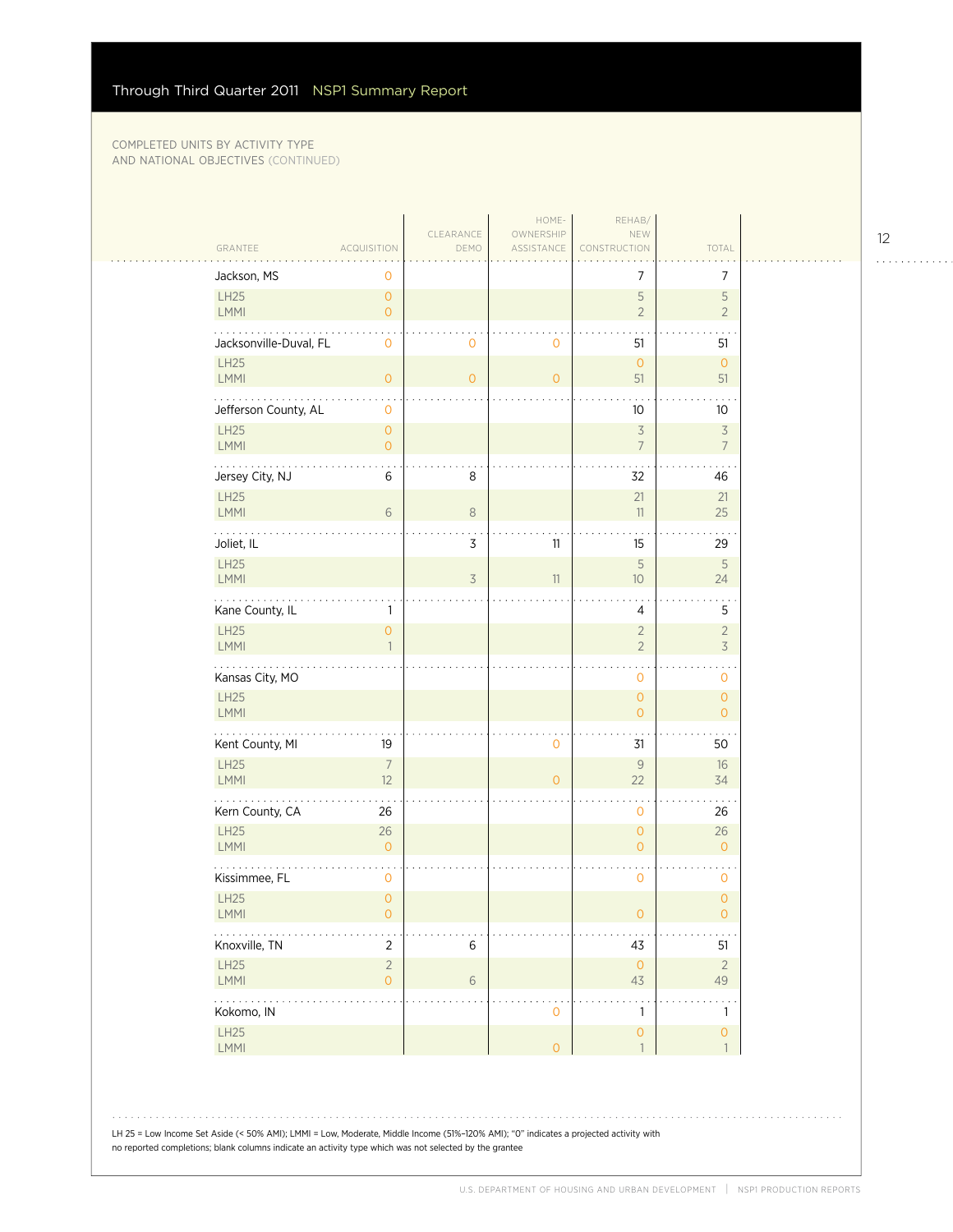| GRANTEE                            | <b>ACQUISITION</b>                  | CLEARANCE<br>DEMO | HOME-<br>OWNERSHIP<br>ASSISTANCE | REHAB/<br>NEW<br>CONSTRUCTION         | TOTAL                                      |
|------------------------------------|-------------------------------------|-------------------|----------------------------------|---------------------------------------|--------------------------------------------|
| Jackson, MS                        | 0                                   |                   |                                  | 7                                     | 7                                          |
| LH25<br>LMMI                       | $\overline{O}$<br>$\overline{O}$    |                   |                                  | $\mathsf S$<br>$\overline{2}$         | $\mathsf S$<br>$\overline{2}$              |
| Jacksonville-Duval, FL             | 0                                   | $\mathbf 0$       | 0                                | 51                                    | 51                                         |
| <b>LH25</b><br>LMMI                | $\overline{O}$                      | $\circ$           | $\mathbf{O}$                     | $\circ$<br>51                         | $\circ$<br>51                              |
| Jefferson County, AL               | 0                                   |                   |                                  | 10                                    | 10                                         |
| LH25<br>LMMI                       | $\overline{O}$<br>$\overline{O}$    |                   |                                  | $\preceq$<br>$\overline{7}$           | $\overline{\mathcal{S}}$<br>$\overline{7}$ |
| Jersey City, NJ                    | 6                                   | 8                 |                                  | 32                                    | 46                                         |
| LH25<br>LMMI                       | 6                                   | $\,8\,$           |                                  | 21<br>11                              | 21<br>25                                   |
| Joliet, IL                         |                                     | 3                 | 11                               | 15                                    | 29                                         |
| LH25<br>LMMI                       |                                     | 3                 | 11                               | 5<br>10                               | $\mathsf S$<br>24                          |
| .<br>Kane County, IL               | 1                                   |                   |                                  | 4                                     | 5                                          |
| <b>LH25</b><br>LMMI                | $\mathsf{O}\xspace$<br>$\mathbf{1}$ |                   |                                  | $\sqrt{2}$<br>$\overline{2}$          | $\overline{2}$<br>$\overline{3}$           |
| Kansas City, MO                    |                                     |                   |                                  | $\cdot$<br>$\mathbf 0$                | 0                                          |
| LH25<br>LMMI                       |                                     |                   |                                  | $\mathsf{O}\xspace$<br>$\overline{0}$ | $\overline{O}$<br>$\overline{O}$           |
| .<br>Kent County, MI               | 19                                  |                   | 0                                | 31                                    | 50                                         |
| LH25<br>LMMI                       | $\overline{7}$<br>12                |                   | $\overline{O}$                   | 9<br>22                               | 16<br>34                                   |
| Kern County, CA                    | 26                                  |                   |                                  | $\mathbf 0$                           | 26                                         |
| <b>LH25</b><br>LMMI                | 26<br>$\overline{O}$                |                   |                                  | $\overline{0}$<br>$\mathsf{O}\xspace$ | 26<br>$\overline{0}$                       |
| Kissimmee, FL                      | $\mathbf 0$                         |                   |                                  | $\mathbf 0$                           | 0                                          |
| <b>LH25</b><br><b>LMMI</b>         | $\overline{O}$<br>0                 |                   |                                  | 0                                     | $\overline{0}$<br>0                        |
| Knoxville, TN                      | $\overline{2}$                      | $\,$ 6 $\,$       |                                  | 43                                    | 51                                         |
| LH25<br>LMMI                       | $\overline{2}$<br>$\overline{O}$    | $\sqrt{6}$        |                                  | $\mathsf{O}$<br>43                    | $\overline{2}$<br>49                       |
| $\sim$ $\sim$ $\sim$<br>Kokomo, IN |                                     |                   | $\mathsf{O}\xspace$              | $\mathbf{1}$                          | $\mathbf{1}$                               |
| LH25<br>LMMI                       |                                     |                   | $\overline{O}$                   | $\mathsf{O}\xspace$<br>$\overline{1}$ | $\mathsf{O}\xspace$<br>$\overline{1}$      |

LH 25 = Low Income Set Aside (< 50% AMI); LMMI = Low, Moderate, Middle Income (51%–120% AMI); "0" indicates a projected activity with no reported completions; blank columns indicate an activity type which was not selected by the grantee

. . . . . . . . . . . .

 $\tau$  ,  $\tau$  ,  $\tau$  ,  $\tau$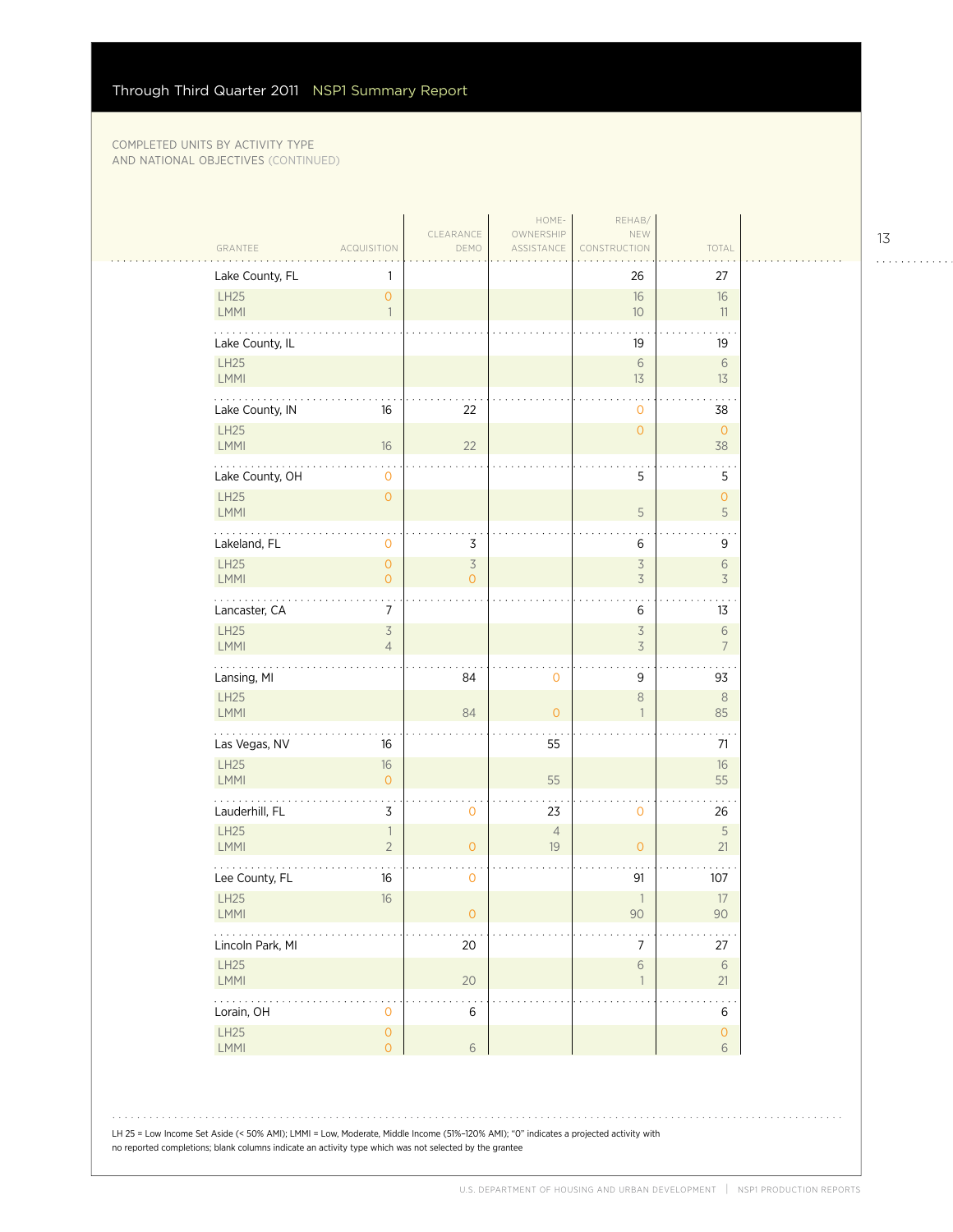| GRANTEE                                                          | <b>ACQUISITION</b>                  | CLEARANCE<br>DEMO                          | HOME-<br>OWNERSHIP<br>ASSISTANCE | REHAB/<br>NEW<br>CONSTRUCTION    | TOTAL                            |
|------------------------------------------------------------------|-------------------------------------|--------------------------------------------|----------------------------------|----------------------------------|----------------------------------|
| Lake County, FL                                                  | 1                                   |                                            |                                  | 26                               | 27                               |
| LH25<br>LMMI                                                     | $\mathsf{O}\xspace$<br>$\mathbf{1}$ |                                            |                                  | $16\,$<br>10                     | $16\,$<br>11                     |
| Lake County, IL                                                  |                                     |                                            |                                  | 19                               | 19                               |
| LH25<br>LMMI                                                     |                                     |                                            |                                  | $\sqrt{6}$<br>13                 | $\sqrt{6}$<br>13                 |
| Lake County, IN                                                  | 16                                  | 22                                         |                                  | $\mathbf{0}$                     | 38                               |
| LH25<br>LMMI                                                     | $16\,$                              | 22                                         |                                  | $\overline{0}$                   | $\circ$<br>38                    |
| Lake County, OH                                                  | 0                                   |                                            |                                  | 5                                | 5                                |
| LH25<br>LMMI                                                     | $\mathsf O$                         |                                            |                                  | 5                                | $\mathsf{O}\xspace$<br>5         |
| Lakeland, FL                                                     | $\mathsf{O}\xspace$                 | 3                                          |                                  | 6                                | 9                                |
| LH25<br>LMMI                                                     | $\circ$<br>$\overline{0}$           | $\overline{\mathcal{S}}$<br>$\overline{O}$ |                                  | $\overline{5}$<br>3              | $\,$ $\,$ $\,$<br>$\overline{3}$ |
| .<br>Lancaster, CA                                               | 7                                   |                                            |                                  | 6                                | 13                               |
| LH25<br>LMMI                                                     | $\overline{3}$<br>$\overline{4}$    |                                            |                                  | $\overline{5}$<br>3              | $\,$ $\,$ $\,$<br>$\overline{7}$ |
| Lansing, MI                                                      |                                     | 84                                         | $\mathbf 0$                      | 9                                | 93                               |
| LH25<br>LMMI                                                     |                                     | 84                                         | $\overline{0}$                   | $\,8\,$<br>$\overline{1}$        | $\,8\,$<br>85                    |
| Las Vegas, NV                                                    | 16                                  |                                            | 55                               |                                  | 71                               |
| LH25<br>LMMI                                                     | $16\,$<br>$\circ$                   |                                            | 55                               |                                  | 16<br>55                         |
| Lauderhill, FL                                                   | 3                                   | $\mathsf{O}\xspace$                        | 23                               | $\mathbf{O}$                     | 26                               |
| LH25<br>LMMI                                                     | $\overline{1}$<br>$\overline{2}$    | $\mathsf O$                                | $\sqrt{4}$<br>19                 | $\mathsf O$                      | 5<br>21                          |
| Lee County, FL                                                   | 16                                  | $\mathbf 0$                                |                                  | 91                               | 107                              |
| LH25<br>LMMI                                                     | $16\,$                              | $\circ$                                    |                                  | $\mathbb{1}$<br>$90\,$           | $17\,$<br>$90\,$                 |
| $\ldots$ .<br>Lincoln Park, MI                                   |                                     | 20                                         |                                  | 7                                | $27\,$                           |
| LH25<br>LMMI                                                     |                                     | 20                                         |                                  | $\,$ $\,$ $\,$<br>$\overline{1}$ | $\,$ $\,$ $\,$ $\,$<br>21        |
| $\mathbb{Z}^2$ , $\mathbb{Z}^2$ , $\mathbb{Z}^2$ ,<br>Lorain, OH | 0                                   | $\ddotsc$<br>$\,$ 6 $\,$                   |                                  |                                  | $\,$ 6 $\,$                      |
| LH25<br>LMMI                                                     | $\mathsf O$<br>$\overline{O}$       | $\sqrt{6}$                                 |                                  |                                  | $\mathsf{O}\xspace$<br>6         |

LH 25 = Low Income Set Aside (< 50% AMI); LMMI = Low, Moderate, Middle Income (51%–120% AMI); "0" indicates a projected activity with no reported completions; blank columns indicate an activity type which was not selected by the grantee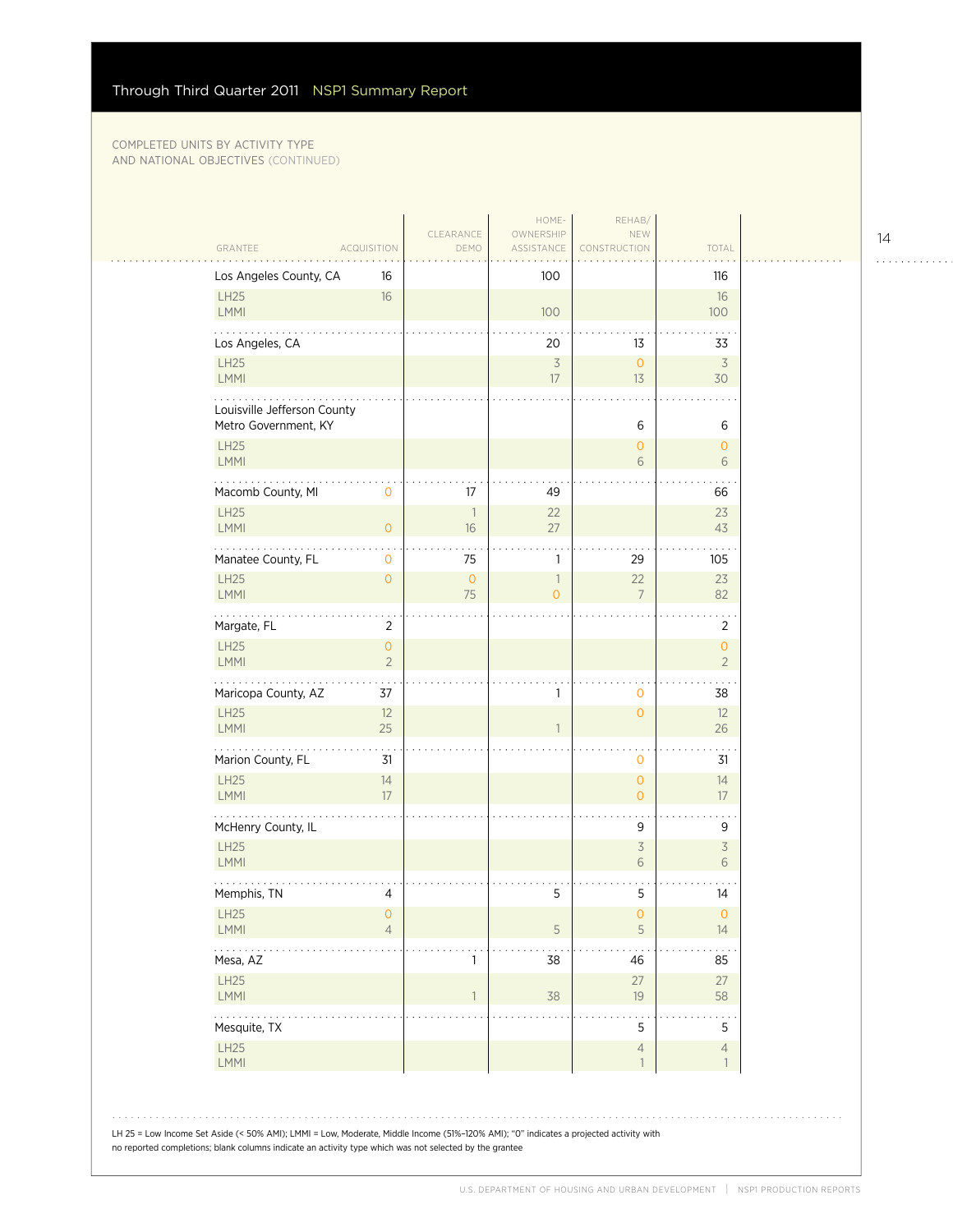| GRANTEE<br><b>ACQUISITION</b>                                                                                                                                                                                                                   |                                       | CLEARANCE<br>DEMO              | HOME-<br>OWNERSHIP<br>ASSISTANCE | REHAB/<br>NEW<br>CONSTRUCTION | TOTAL                                 |  |
|-------------------------------------------------------------------------------------------------------------------------------------------------------------------------------------------------------------------------------------------------|---------------------------------------|--------------------------------|----------------------------------|-------------------------------|---------------------------------------|--|
| Los Angeles County, CA                                                                                                                                                                                                                          | 16                                    |                                | 100                              |                               | 116                                   |  |
| LH25<br><b>LMMI</b>                                                                                                                                                                                                                             | 16                                    |                                | 100                              |                               | 16<br>100                             |  |
| Los Angeles, CA                                                                                                                                                                                                                                 |                                       |                                | 20                               | 13                            | 33                                    |  |
| LH25<br>LMMI                                                                                                                                                                                                                                    |                                       |                                | $\overline{\mathcal{S}}$<br>17   | $\circ$<br>13                 | $\overline{3}$<br>30                  |  |
| Louisville Jefferson County<br>Metro Government, KY                                                                                                                                                                                             |                                       |                                |                                  | 6                             | 6                                     |  |
| LH25<br><b>LMMI</b>                                                                                                                                                                                                                             |                                       |                                |                                  | $\circ$<br>6                  | $\circ$<br>6                          |  |
| Macomb County, MI                                                                                                                                                                                                                               | 0                                     | 17                             | 49                               |                               | 66                                    |  |
| LH25<br>LMMI                                                                                                                                                                                                                                    | $\overline{O}$                        | $\overline{\phantom{a}}$<br>16 | 22<br>27                         |                               | 23<br>43                              |  |
| .<br>Manatee County, FL                                                                                                                                                                                                                         | 0                                     | 75                             | 1                                | 29                            | 105                                   |  |
| LH25<br><b>LMMI</b>                                                                                                                                                                                                                             | $\overline{O}$                        | $\mathsf{O}\xspace$<br>75      | $\mathbb{1}$<br>$\overline{O}$   | 22<br>$\overline{7}$          | 23<br>82                              |  |
| Margate, FL                                                                                                                                                                                                                                     | $\overline{2}$                        |                                |                                  |                               | 2                                     |  |
| LH25<br>LMMI                                                                                                                                                                                                                                    | $\mathsf{O}\xspace$<br>$\overline{2}$ |                                |                                  |                               | $\mathsf{O}\xspace$<br>$\overline{2}$ |  |
| Maricopa County, AZ                                                                                                                                                                                                                             | 37                                    |                                | 1                                | $\mathbf 0$                   | 38                                    |  |
| <b>LH25</b><br><b>LMMI</b>                                                                                                                                                                                                                      | 12<br>25                              |                                |                                  | $\circ$                       | 12<br>26                              |  |
| Marion County, FL                                                                                                                                                                                                                               | 31                                    |                                |                                  | $\mathbf{0}$                  | 31                                    |  |
| LH25<br><b>LMMI</b>                                                                                                                                                                                                                             | 14<br>17                              |                                |                                  | $\circ$<br>$\overline{O}$     | 14<br>17                              |  |
| McHenry County, IL                                                                                                                                                                                                                              |                                       |                                |                                  | 9                             | 9                                     |  |
| LH25<br>LMMI                                                                                                                                                                                                                                    |                                       |                                |                                  | $\overline{\mathcal{S}}$<br>6 | $\overline{3}$<br>6                   |  |
| Memphis, TN                                                                                                                                                                                                                                     | 4                                     |                                | 5                                | 5                             | 14                                    |  |
| LH25<br>LMMI                                                                                                                                                                                                                                    | O<br>$\overline{4}$                   |                                | $\mathsf S$                      | $\cup$<br>5                   | $\cup$<br>14                          |  |
| .<br>Mesa, AZ                                                                                                                                                                                                                                   |                                       | 1                              | 38                               | 46                            | 85                                    |  |
| LH25<br>LMMI                                                                                                                                                                                                                                    |                                       | $\mathbf{1}$                   | 38                               | 27<br>19                      | 27<br>58                              |  |
| Mesquite, TX                                                                                                                                                                                                                                    |                                       |                                |                                  | 5                             | 5                                     |  |
| LH25<br>LMMI                                                                                                                                                                                                                                    |                                       |                                |                                  | $\sqrt{4}$<br>$\overline{1}$  | $\overline{4}$<br>1                   |  |
|                                                                                                                                                                                                                                                 |                                       |                                |                                  |                               |                                       |  |
| LH 25 = Low Income Set Aside (< 50% AMI); LMMI = Low, Moderate, Middle Income (51%-120% AMI); "0" indicates a projected activity with<br>no reported completions; blank columns indicate an activity type which was not selected by the grantee |                                       |                                |                                  |                               |                                       |  |

14

 $1.1.1.1.1.1.1.1.1.1$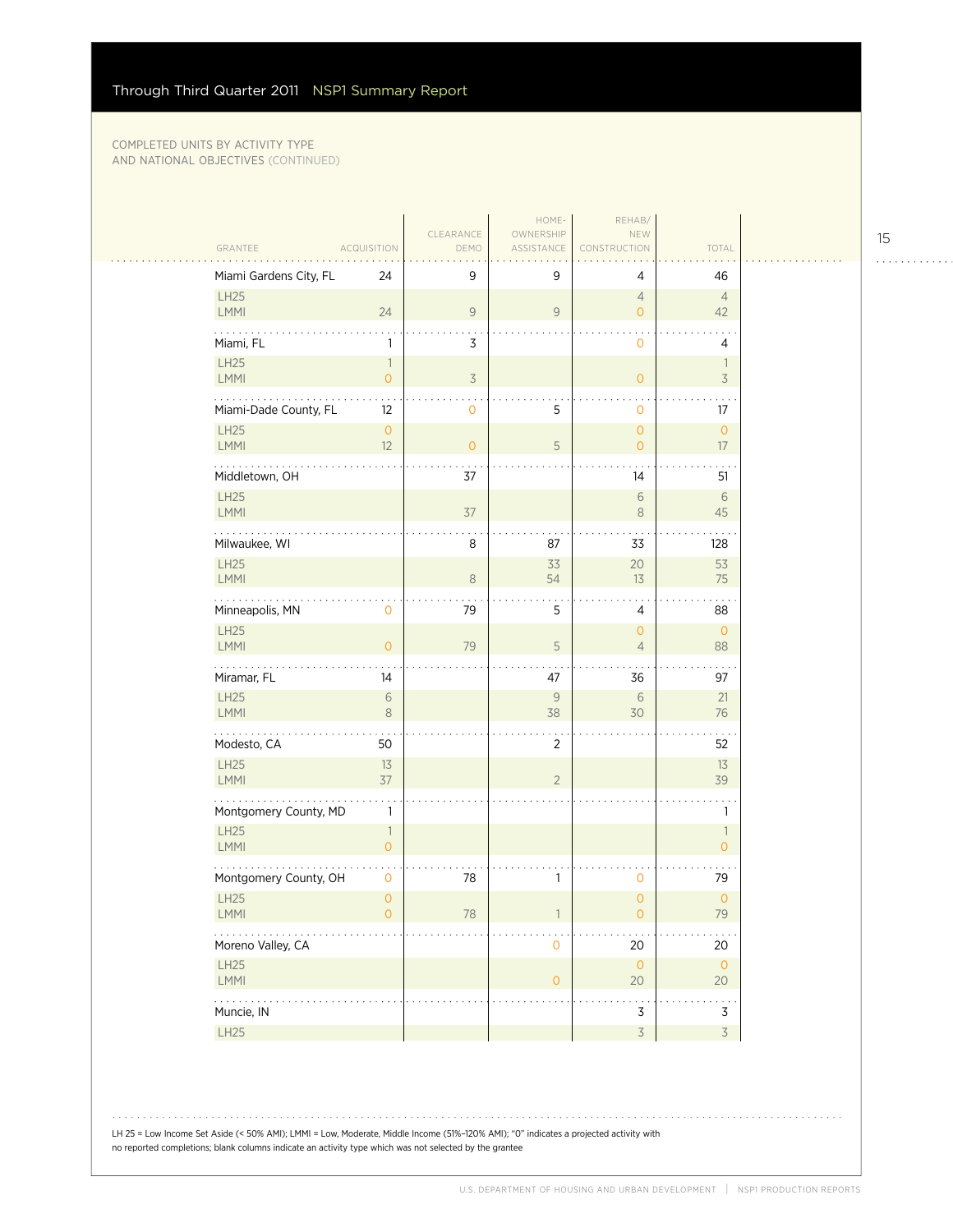|                                                                                           |                                            |                   | HOME-                   | REHAB/                                |                                            |  |
|-------------------------------------------------------------------------------------------|--------------------------------------------|-------------------|-------------------------|---------------------------------------|--------------------------------------------|--|
| GRANTEE                                                                                   | <b>ACQUISITION</b>                         | CLEARANCE<br>DEMO | OWNERSHIP<br>ASSISTANCE | NEW<br>CONSTRUCTION                   | TOTAL                                      |  |
| Miami Gardens City, FL                                                                    | 24                                         | 9                 | 9                       | 4                                     | 46                                         |  |
| LH25<br>LMMI                                                                              | 24                                         | $\mathsf{9}$      | 9                       | $\overline{4}$<br>$\overline{O}$      | $\overline{4}$<br>42                       |  |
| Miami, FL                                                                                 | 1                                          | 3                 |                         | $\mathsf{O}$                          | 4                                          |  |
| LH25<br>LMMI                                                                              | 1<br>$\overline{0}$                        | 3                 |                         | $\overline{O}$                        | $\overline{\phantom{a}}$<br>$\overline{3}$ |  |
| Miami-Dade County, FL                                                                     | 12                                         | $\mathbf 0$       | 5                       | 0                                     | 17                                         |  |
| <b>LH25</b><br>LMMI                                                                       | $\mathsf{O}\xspace$<br>12                  | $\circ$           | 5                       | $\overline{0}$<br>$\overline{O}$      | $\circ$<br>$17\,$                          |  |
| Middletown, OH                                                                            |                                            | 37                |                         | 14                                    | 51                                         |  |
| LH25<br><b>LMMI</b>                                                                       |                                            | 37                |                         | $\,$ $\,$ $\,$<br>$\,8\,$             | $\sqrt{6}$<br>45                           |  |
| Milwaukee, WI                                                                             |                                            | 8                 | 87                      | 33                                    | 128                                        |  |
| LH25<br><b>LMMI</b>                                                                       |                                            | 8                 | 33<br>54                | 20<br>13                              | 53<br>75                                   |  |
| والمالم المالم<br>Minneapolis, MN                                                         | 0                                          | 79                | 5                       | 4                                     | 88                                         |  |
| LH25<br><b>LMMI</b>                                                                       | $\mathsf{O}\xspace$                        | 79                | $\sqrt{5}$              | $\mathsf{O}\xspace$<br>$\overline{4}$ | $\circ$<br>88                              |  |
| Miramar, FL                                                                               | 14                                         |                   | 47                      | 36                                    | .<br>97                                    |  |
| LH25<br><b>LMMI</b>                                                                       | $\sqrt{6}$<br>$\,8\,$                      |                   | 9<br>38                 | 6<br>30                               | 21<br>76                                   |  |
| .<br>Modesto, CA                                                                          | 50                                         |                   | $\overline{2}$          |                                       | 52                                         |  |
| LH25<br><b>LMMI</b>                                                                       | 13<br>37                                   |                   | $\overline{2}$          |                                       | 13<br>39                                   |  |
| Montgomery County, MD                                                                     | $\mathbf{1}$                               |                   |                         |                                       | $\mathbf{1}$                               |  |
| <b>LH25</b><br><b>LMMI</b>                                                                | $\overline{\phantom{a}}$<br>$\overline{0}$ |                   |                         |                                       | $\mathbb{1}$<br>$\overline{0}$             |  |
| Montgomery County, OH                                                                     | $\mathbf 0$                                | 78                | $\mathbf{1}$            | 0                                     | 79                                         |  |
| LH25<br><b>LMMI</b>                                                                       | $\mathsf{O}\xspace$<br>0                   | 78                |                         | $\overline{0}$<br>0                   | $\mathsf{O}\xspace$<br>79                  |  |
| Moreno Valley, CA                                                                         |                                            |                   | $\mathbf 0$             | 20                                    | 20                                         |  |
| <b>LH25</b><br>LMMI                                                                       |                                            |                   | $\mathsf{O}\xspace$     | $\circ$<br>$20\,$                     | $\circ$<br>20                              |  |
| $\mathcal{L}(\mathcal{L}(\mathcal{L},\mathcal{L},\mathcal{L},\mathcal{L}))$<br>Muncie, IN |                                            |                   |                         | $\overline{3}$                        | $\ddot{\phantom{0}}$<br>$\overline{3}$     |  |
| LH25                                                                                      |                                            |                   |                         | $\overline{3}$                        | $\overline{3}$                             |  |

LH 25 = Low Income Set Aside (< 50% AMI); LMMI = Low, Moderate, Middle Income (51%–120% AMI); "0" indicates a projected activity with no reported completions; blank columns indicate an activity type which was not selected by the grantee

15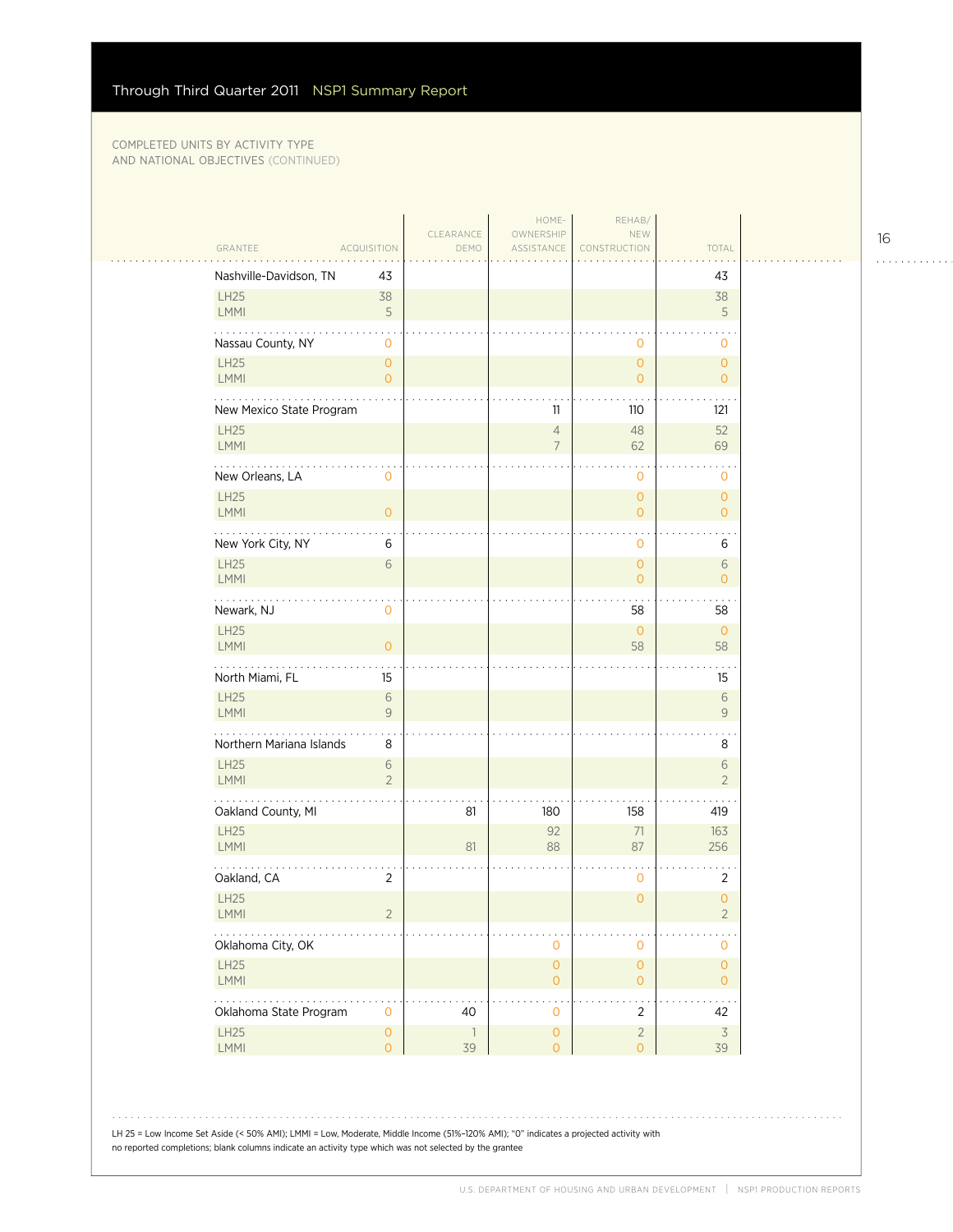$\sim$  .

| <b>ACQUISITION</b><br>GRANTEE                  | CLEARANCE<br>DEMO    | HOME-<br>OWNERSHIP<br>ASSISTANCE           | REHAB/<br>NEW<br>CONSTRUCTION      | TOTAL                            |  |
|------------------------------------------------|----------------------|--------------------------------------------|------------------------------------|----------------------------------|--|
| Nashville-Davidson, TN<br>43                   |                      |                                            |                                    | 43                               |  |
| <b>LH25</b><br>38<br>5<br><b>LMMI</b>          |                      |                                            |                                    | 38<br>5                          |  |
| Nassau County, NY<br>$\mathbf 0$               |                      |                                            | 0                                  | 0                                |  |
| LH25<br>$\overline{0}$<br>LMMI<br>$\Omega$     |                      |                                            | $\circ$<br>$\overline{O}$          | $\overline{O}$<br>$\overline{O}$ |  |
| New Mexico State Program                       |                      | 11                                         | 110                                | 121                              |  |
| LH25<br>LMMI                                   |                      | $\overline{4}$<br>$\overline{7}$           | 48<br>62                           | 52<br>69                         |  |
| New Orleans, LA<br>$\mathbf 0$                 |                      |                                            | $\mathbf 0$                        | 0                                |  |
| <b>LH25</b><br>LMMI<br>$\overline{O}$          |                      |                                            | $\mathbf{O}$<br>$\overline{O}$     | $\overline{O}$<br>$\overline{O}$ |  |
| New York City, NY<br>6                         |                      |                                            | 0                                  | 6                                |  |
| LH25<br>6<br>LMMI                              |                      |                                            | $\mathbf{O}$<br>$\mathbf{O}$       | 6<br>$\overline{O}$              |  |
| Newark, NJ<br>$\mathbf 0$                      |                      |                                            | 58                                 | 58                               |  |
| <b>LH25</b><br>LMMI<br>$\overline{0}$          |                      |                                            | $\circ$<br>58                      | $\circ$<br>58                    |  |
| North Miami, FL<br>15                          |                      |                                            |                                    | 15                               |  |
| <b>LH25</b><br>$\sqrt{6}$<br>9<br>LMMI         |                      |                                            |                                    | 6<br>9                           |  |
| .<br>Northern Mariana Islands<br>8             |                      |                                            |                                    | 8                                |  |
| <b>LH25</b><br>6<br>LMMI<br>$\overline{2}$     |                      |                                            |                                    | 6<br>$\overline{2}$              |  |
| Oakland County, MI                             | 81                   | 180                                        | 158                                | 419                              |  |
| LH25<br>LMMI                                   | 81                   | 92<br>88                                   | 71<br>87                           | 163<br>256                       |  |
| Oakland, CA<br>$\overline{2}$                  |                      |                                            | $\mathbf 0$                        | $\overline{2}$                   |  |
| <b>LH25</b><br><b>LMMI</b><br>2                |                      |                                            | $\overline{O}$                     | $\overline{0}$<br>2              |  |
| Oklahoma City, OK                              |                      | 0                                          | $\mathbf 0$                        | 0                                |  |
| LH25<br>LMMI                                   |                      | $\mathsf{O}\xspace$<br>$\mathsf{O}\xspace$ | $\mathsf{O}\xspace$<br>$\mathsf O$ | $\overline{0}$<br>$\overline{0}$ |  |
| Oklahoma State Program<br>$\mathbf{O}$         | 40                   | $\mathbf 0$                                | $\overline{2}$                     | 42                               |  |
| LH25<br>$\mathsf{O}\xspace$<br>LMMI<br>$\circ$ | $\overline{1}$<br>39 | $\mathsf{O}\xspace$<br>$\overline{O}$      | $\sqrt{2}$<br>$\overline{O}$       | $\overline{3}$<br>39             |  |
|                                                |                      |                                            |                                    |                                  |  |

LH 25 = Low Income Set Aside (< 50% AMI); LMMI = Low, Moderate, Middle Income (51%–120% AMI); "0" indicates a projected activity with no reported completions; blank columns indicate an activity type which was not selected by the grantee

16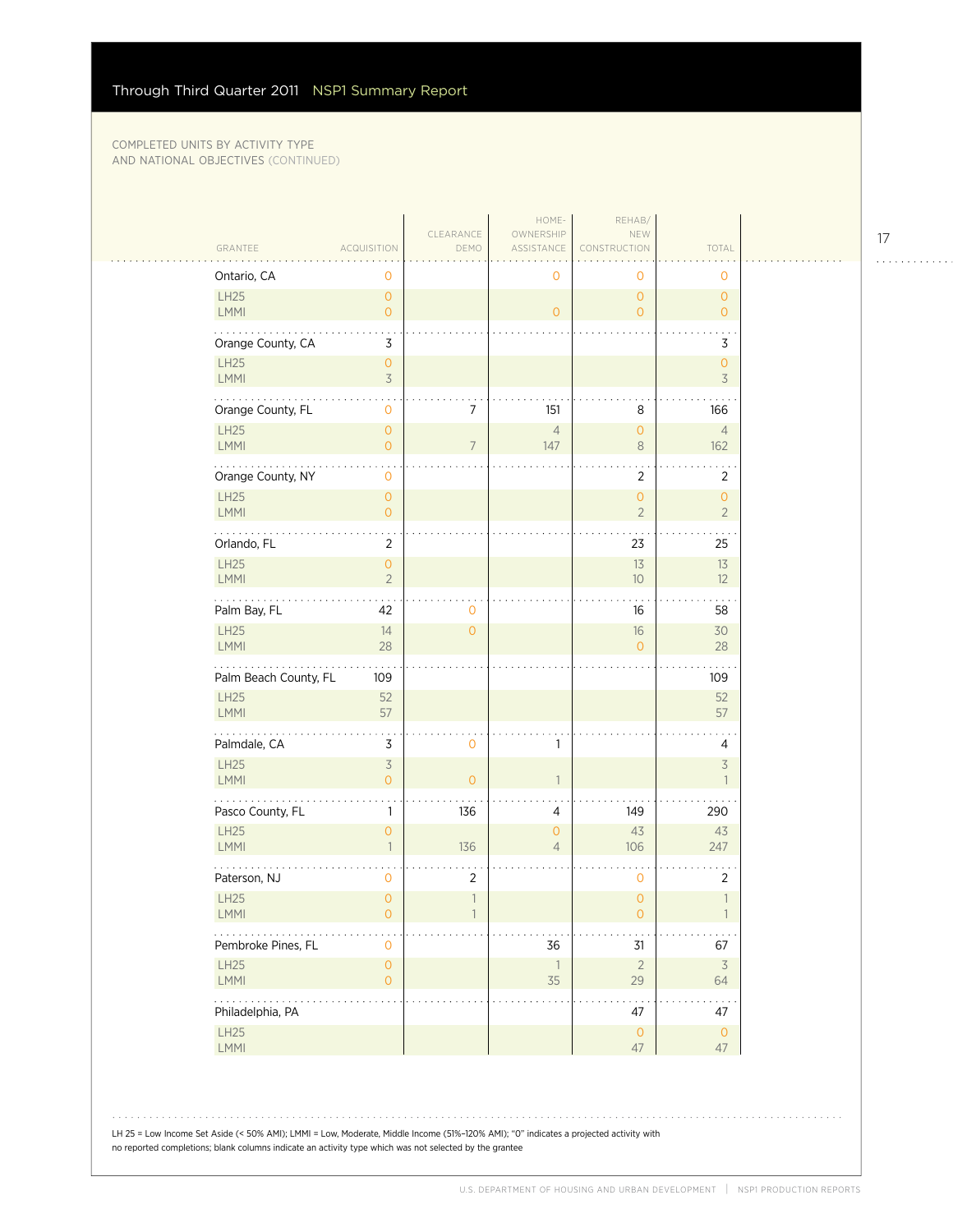$\mathcal{L}_{\mathcal{A}}$ 

|                       |                                            |                          | HOME-                          | REHAB/                                |                                            |
|-----------------------|--------------------------------------------|--------------------------|--------------------------------|---------------------------------------|--------------------------------------------|
| GRANTEE               | <b>ACQUISITION</b>                         | CLEARANCE<br>DEMO        | OWNERSHIP<br>ASSISTANCE        | NEW<br><b>RUCTION</b>                 | TOTAL                                      |
| Ontario, CA           | 0                                          |                          | 0                              | 0                                     | 0                                          |
| LH25<br>LMMI          | $\circ$<br>$\circ$                         |                          | $\overline{0}$                 | $\overline{O}$<br>$\overline{O}$      | $\overline{O}$<br>$\overline{O}$           |
| Orange County, CA     | 3                                          |                          |                                |                                       | 3                                          |
| LH25<br>LMMI          | $\mathsf{O}\xspace$<br>$\overline{3}$      |                          |                                |                                       | $\circ$<br>3                               |
| Orange County, FL     | $\mathbf 0$                                | $\overline{7}$           | 151                            | 8                                     | 166                                        |
| LH25<br><b>LMMI</b>   | $\mathbf{O}$<br>$\mathbf{0}$               | $\overline{7}$           | $\overline{4}$<br>147          | $\overline{O}$<br>$\,8\,$             | $\overline{4}$<br>162                      |
| Orange County, NY     | 0                                          |                          |                                | $\overline{2}$                        | $\overline{2}$                             |
| LH25<br>LMMI          | $\circ$<br>$\circ$                         |                          |                                | $\overline{O}$<br>$\overline{2}$      | $\overline{O}$<br>$\overline{2}$           |
| Orlando, FL           | 2                                          |                          |                                | 23                                    | 25                                         |
| LH25<br>LMMI          | $\mathsf{O}\xspace$<br>$\overline{2}$      |                          |                                | 13<br>10                              | $13$<br>12                                 |
| Palm Bay, FL          | 42                                         | 0                        |                                | 16                                    | 58                                         |
| LH25<br>LMMI          | 14<br>28                                   | $\circ$                  |                                | 16<br>$\Omega$                        | 30<br>28                                   |
| Palm Beach County, FL | 109                                        |                          |                                |                                       | 109                                        |
| LH25<br>LMMI          | 52<br>57                                   |                          |                                |                                       | 52<br>57                                   |
| .<br>Palmdale, CA     | 3                                          | $\mathbf 0$              | 1                              |                                       | 4                                          |
| LH25<br>LMMI          | $\overline{\mathcal{S}}$<br>$\overline{O}$ | $\circ$                  | $\mathbf{1}$                   |                                       | $\overline{\mathcal{S}}$<br>$\overline{1}$ |
| Pasco County, FL      | $\mathbf{1}$                               | 136                      | 4                              | 149                                   | 290                                        |
| <b>LH25</b><br>LMMI   | $\mathbf{0}$<br>$\mathbf{1}$               | 136                      | $\mathbf 0$<br>$\overline{4}$  | 43<br>106                             | 43<br>247                                  |
| Paterson, NJ          | 0                                          | $\overline{c}$           |                                | 0                                     | $\overline{2}$                             |
| LH25<br>LMMI          | $\overline{O}$<br>$\mathsf{O}\xspace$      | $\overline{\phantom{a}}$ |                                | $\overline{0}$<br>$\mathsf{O}\xspace$ | $\overline{\phantom{a}}$                   |
| Pembroke Pines, FL    | $\mathbf 0$                                |                          | 36                             | 31                                    | 67                                         |
| LH25<br>LMMI          | $\mathsf{O}\xspace$<br>$\circ$             |                          | $\overline{\phantom{a}}$<br>35 | $\overline{2}$<br>29                  | $\overline{\mathcal{S}}$<br>64             |
| .<br>Philadelphia, PA |                                            |                          |                                | 47                                    | 47                                         |
| <b>LH25</b><br>LMMI   |                                            |                          |                                | $\mathsf{O}$<br>47                    | $\mathsf O$<br>47                          |

LH 25 = Low Income Set Aside (< 50% AMI); LMMI = Low, Moderate, Middle Income (51%–120% AMI); "0" indicates a projected activity with no reported completions; blank columns indicate an activity type which was not selected by the grantee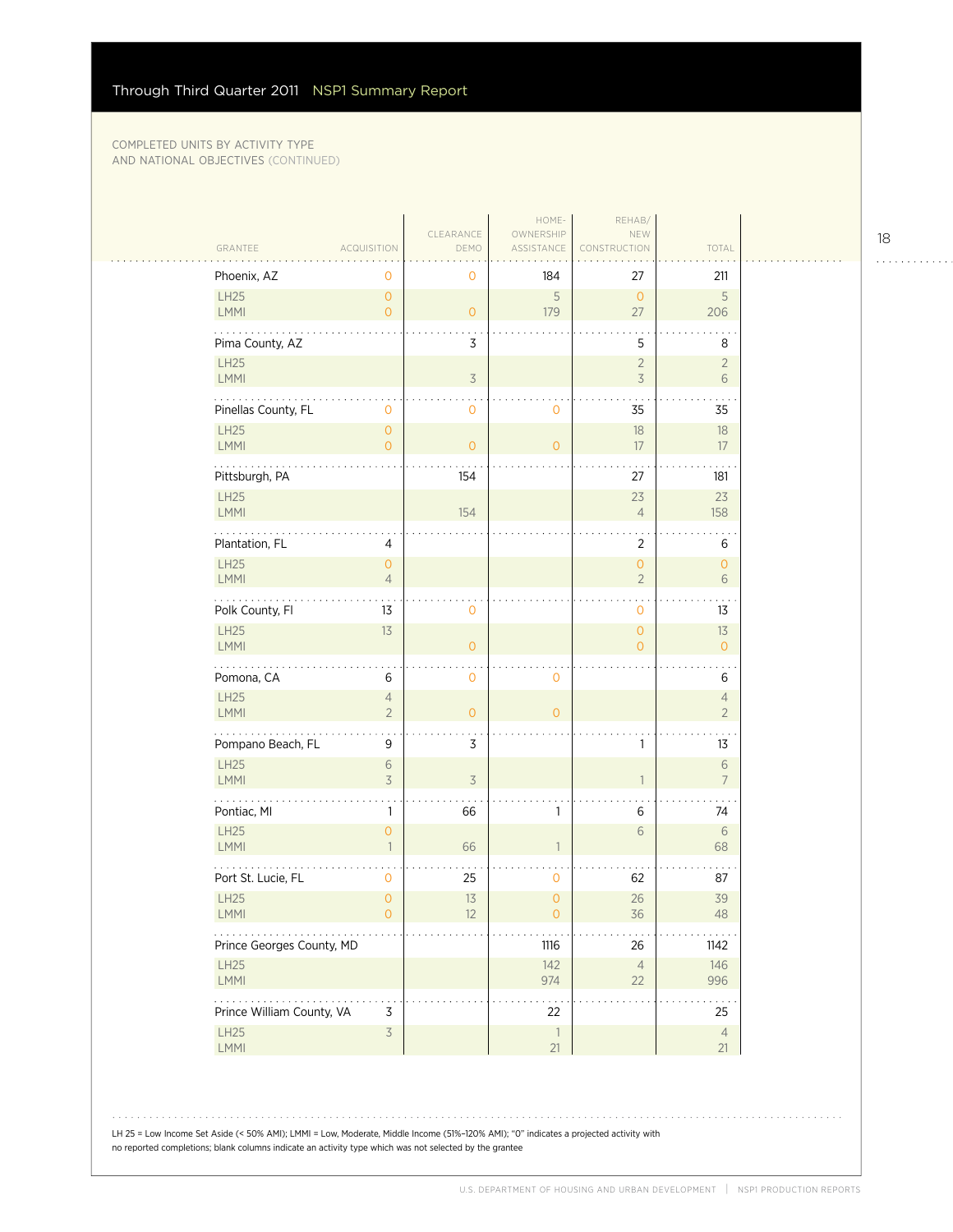| GRANTEE                        | ACQUISITION                                | CLEARANCE<br>DEMO        | HOME-<br>OWNERSHIP<br>ASSISTANCE      | REHAB/<br>NEW<br><b>NSTRUCTION</b>    | TOTAL                            |  |
|--------------------------------|--------------------------------------------|--------------------------|---------------------------------------|---------------------------------------|----------------------------------|--|
| Phoenix, AZ                    | 0                                          | 0                        | 184                                   | 27                                    | 211                              |  |
| LH25<br>LMMI                   | $\mathsf{O}\xspace$<br>$\mathsf{O}\xspace$ | $\overline{O}$           | 5<br>179                              | $\overline{0}$<br>27                  | 5<br>206                         |  |
| Pima County, AZ                |                                            | 3                        |                                       | 5                                     | 8                                |  |
| <b>LH25</b><br>LMMI            |                                            | $\overline{3}$           |                                       | $\overline{2}$<br>$\mathsf 3$         | $\overline{2}$<br>6              |  |
| Pinellas County, FL            | $\mathsf{O}\xspace$                        | 0                        | $\mathbf 0$                           | 35                                    | 35                               |  |
| <b>LH25</b><br>LMMI            | $\mathsf O$<br>$\overline{0}$              | $\overline{O}$           | $\mathbf{O}$                          | 18<br>17                              | $18\,$<br>17                     |  |
| Pittsburgh, PA                 |                                            | 154                      |                                       | 27                                    | 181                              |  |
| LH25<br>LMMI                   |                                            | 154                      |                                       | 23<br>$\overline{4}$                  | 23<br>158                        |  |
| Plantation, FL                 | 4                                          |                          |                                       | $\overline{2}$                        | 6                                |  |
| LH25<br>LMMI                   | $\mathsf{O}\xspace$<br>$\overline{4}$      |                          |                                       | $\mathsf{O}\xspace$<br>$\overline{2}$ | $\mathsf{O}\xspace$<br>6         |  |
| .<br>Polk County, Fl           | 13                                         | 0                        |                                       | $\mathbf{O}$                          | 13                               |  |
| LH25<br><b>LMMI</b>            | 13                                         | $\overline{O}$           |                                       | $\circ$<br>$\circ$                    | 13<br>$\overline{O}$             |  |
| Pomona, CA                     | 6                                          | 0                        | 0                                     |                                       | 6                                |  |
| LH25<br>LMMI                   | $\overline{4}$<br>$\overline{2}$           | $\overline{O}$           | $\overline{O}$                        |                                       | $\overline{4}$<br>$\overline{2}$ |  |
| Pompano Beach, FL              | 9                                          | 3                        |                                       | 1                                     | 13                               |  |
| LH25<br>LMMI                   | $\sqrt{6}$<br>$\overline{\mathcal{S}}$     | $\overline{\mathcal{S}}$ |                                       | $\mathbf{1}$                          | $\sqrt{6}$<br>$\overline{7}$     |  |
| Pontiac, MI                    | 1                                          | 66                       | $\mathbf{1}$                          | 6                                     | 74                               |  |
| LH25<br><b>LMMI</b>            | $\overline{O}$<br>$\mathbf{1}$             | 66                       | $\mathbf{1}$                          | $\sqrt{6}$                            | $\sqrt{6}$<br>68                 |  |
| Port St. Lucie, FL             | 0                                          | 25                       | 0                                     | 62                                    | 87                               |  |
| LH25<br>LMMI                   | $\mathsf O$<br>$\overline{O}$              | 13<br>12                 | $\overline{0}$<br>$\mathsf{O}\xspace$ | 26<br>36                              | 39<br>48                         |  |
| Prince Georges County, MD      |                                            |                          | 1116                                  | 26                                    | 1142                             |  |
| LH25<br>LMMI                   |                                            |                          | 142<br>974                            | $\overline{4}$<br>22                  | 146<br>996                       |  |
| .<br>Prince William County, VA | $\mathsf 3$                                |                          | 22                                    |                                       | 25                               |  |
| LH25<br>LMMI                   | $\overline{3}$                             |                          | $\overline{\phantom{a}}$<br>21        |                                       | $\overline{4}$<br>21             |  |

18

. . . . . . . . . . . .

LH 25 = Low Income Set Aside (< 50% AMI); LMMI = Low, Moderate, Middle Income (51%–120% AMI); "0" indicates a projected activity with no reported completions; blank columns indicate an activity type which was not selected by the grantee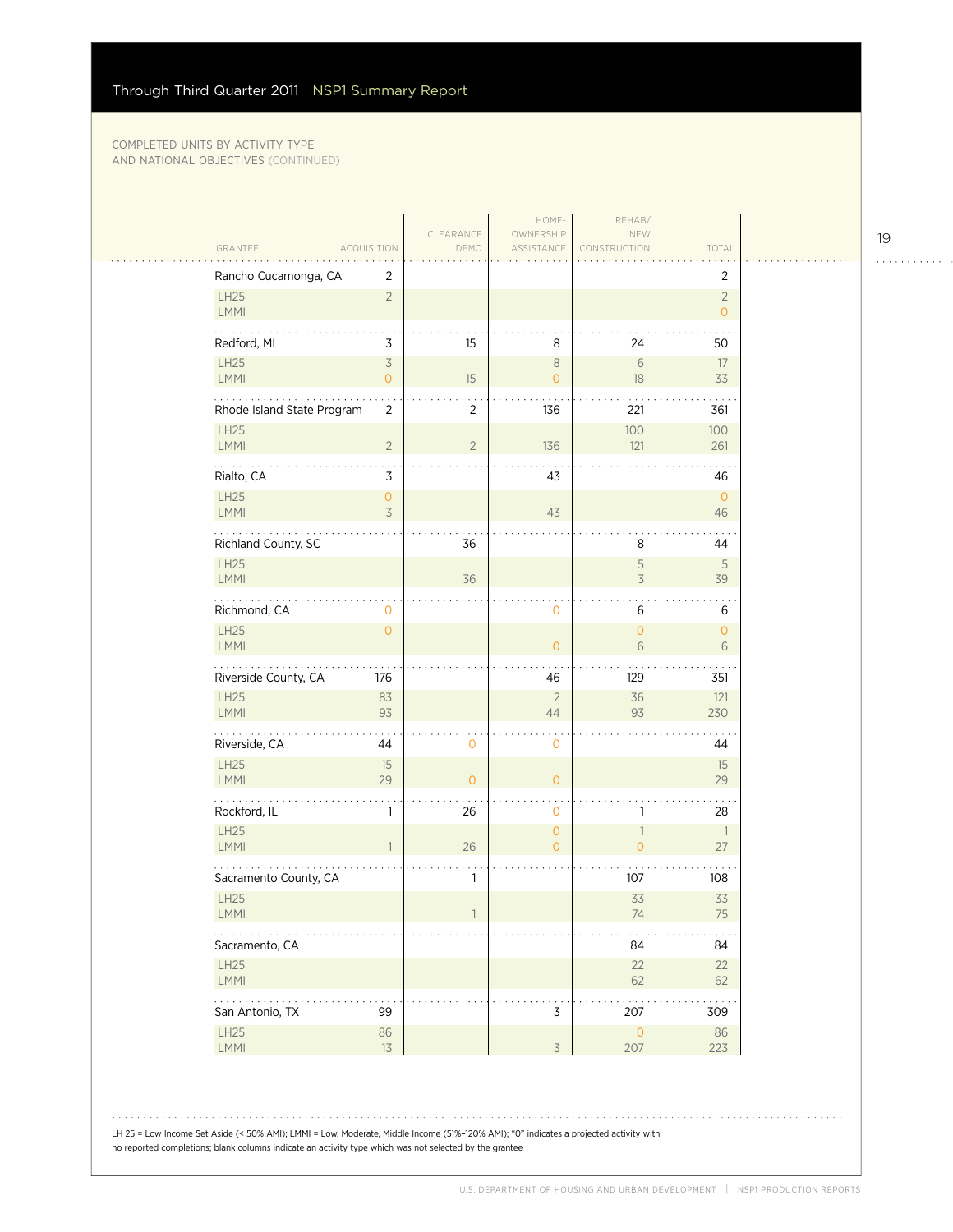|                                                                                |                   | HOME-                            | REHAB/                                     |                                  |  |
|--------------------------------------------------------------------------------|-------------------|----------------------------------|--------------------------------------------|----------------------------------|--|
| GRANTEE<br><b>ACQUISITION</b>                                                  | CLEARANCE<br>DEMO | OWNERSHIP<br>ASSISTANCE          | NEW<br>CONSTRUCTION                        | TOTAL                            |  |
| Rancho Cucamonga, CA<br>2                                                      |                   |                                  |                                            | $\overline{2}$                   |  |
| LH25<br>$\overline{2}$<br>LMMI                                                 |                   |                                  |                                            | $\overline{2}$<br>$\overline{O}$ |  |
| Redford, MI<br>3                                                               | 15                | 8                                | 24                                         | 50                               |  |
| <b>LH25</b><br>$\overline{5}$<br>LMMI<br>$\mathsf{O}\xspace$                   | 15                | $\,8\,$<br>$\overline{0}$        | $\sqrt{6}$<br>18                           | 17<br>33                         |  |
| Rhode Island State Program<br>$\overline{2}$                                   | $\overline{2}$    | 136                              | 221                                        | 361                              |  |
| <b>LH25</b><br>LMMI<br>$\overline{2}$                                          | $\sqrt{2}$        | 136                              | 100<br>121                                 | 100<br>261                       |  |
| 3<br>Rialto, CA                                                                |                   | 43                               |                                            | 46                               |  |
| LH25<br>$\mathsf{O}\xspace$<br>LMMI<br>3                                       |                   | 43                               |                                            | $\overline{0}$<br>46             |  |
| Richland County, SC                                                            | 36                |                                  | 8                                          | 44                               |  |
| <b>LH25</b><br>LMMI                                                            | 36                |                                  | 5<br>$\overline{3}$                        | 5<br>39                          |  |
| $\mathbf{z}$ , $\mathbf{z}$ , $\mathbf{z}$ , $\mathbf{z}$<br>Richmond, CA<br>0 |                   | 0                                | 6                                          | 6                                |  |
| <b>LH25</b><br>$\overline{O}$<br><b>LMMI</b>                                   |                   | $\overline{O}$                   | $\overline{O}$<br>6                        | $\overline{O}$<br>6              |  |
| Riverside County, CA<br>176                                                    |                   | 46                               | 129                                        | 351                              |  |
| LH25<br>83<br><b>LMMI</b><br>93                                                |                   | $\overline{2}$<br>44             | 36<br>93                                   | 121<br>230                       |  |
| .<br>Riverside, CA<br>44                                                       | 0                 | 0                                |                                            | 44                               |  |
| LH25<br>15<br>LMMI<br>29                                                       | $\overline{0}$    | $\overline{O}$                   |                                            | 15<br>29                         |  |
| Rockford, IL<br>$\mathbf{1}$                                                   | 26                | 0                                | 1                                          | 28                               |  |
| <b>LH25</b><br>LMMI<br>$\overline{1}$                                          | 26                | $\overline{0}$<br>$\overline{O}$ | $\overline{\phantom{a}}$<br>$\overline{0}$ | $\overline{\phantom{a}}$<br>27   |  |
| Sacramento County, CA                                                          | 1                 |                                  | 107                                        | 108                              |  |
| <b>LH25</b><br>LMMI                                                            |                   |                                  | 33<br>74                                   | 33<br>75                         |  |
| Sacramento, CA                                                                 |                   |                                  | 84                                         | 84                               |  |
| LH25<br>LMMI                                                                   |                   |                                  | 22<br>62                                   | 22<br>62                         |  |
| $\mathbb{Z}^2$ . The set of $\mathbb{Z}^2$<br>San Antonio, TX<br>99            |                   | 3                                | 207                                        | 309                              |  |
| LH25<br>86<br>LMMI<br>13                                                       |                   | $\overline{3}$                   | $\overline{0}$<br>207                      | 86<br>223                        |  |
|                                                                                |                   |                                  |                                            |                                  |  |

LH 25 = Low Income Set Aside (< 50% AMI); LMMI = Low, Moderate, Middle Income (51%–120% AMI); "0" indicates a projected activity with no reported completions; blank columns indicate an activity type which was not selected by the grantee

19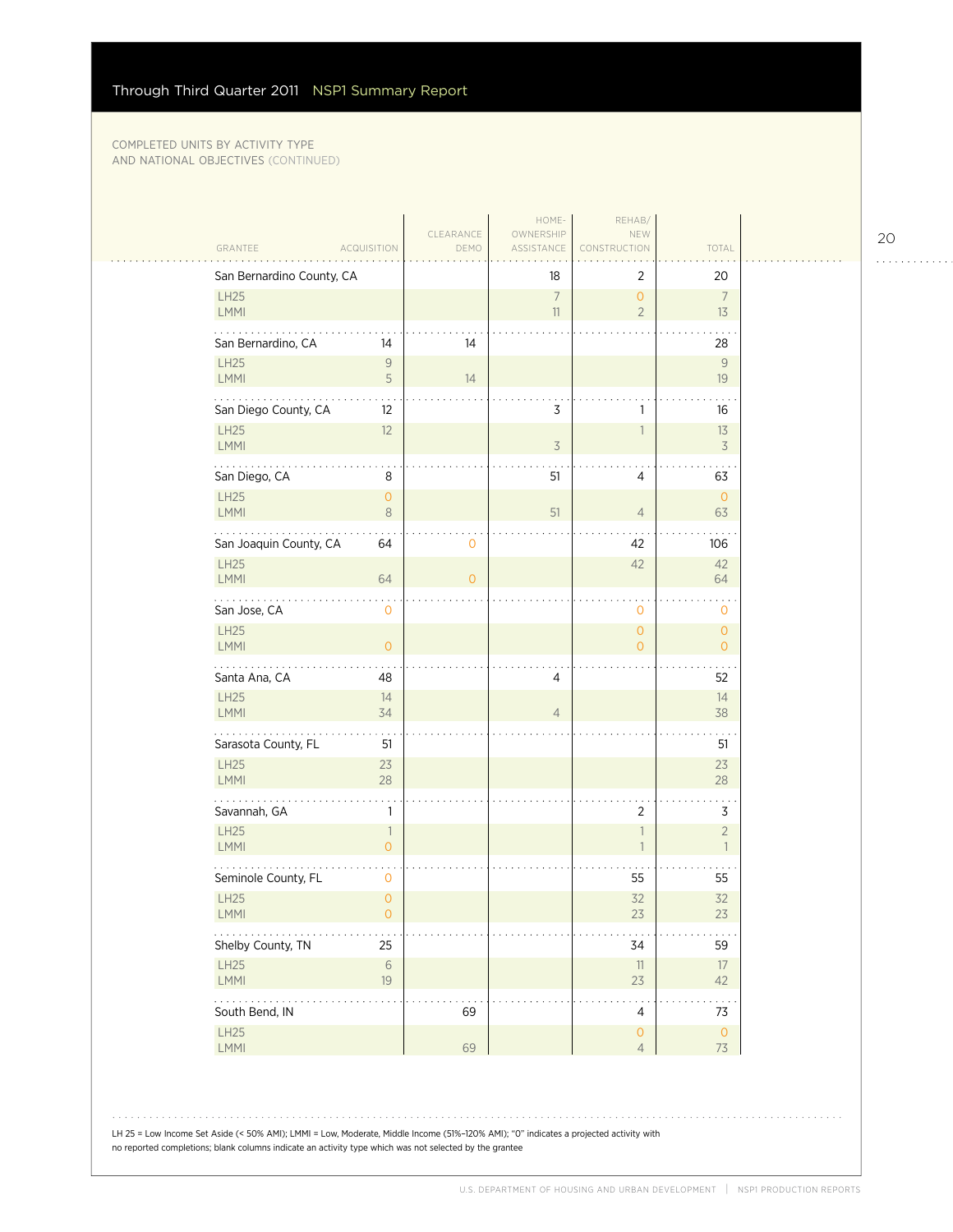|                                                              |                   | HOME-                   | REHAB/                        |                                  |  |
|--------------------------------------------------------------|-------------------|-------------------------|-------------------------------|----------------------------------|--|
| GRANTEE<br><b>ACQUISITION</b>                                | CLEARANCE<br>DEMO | OWNERSHIP<br>ASSISTANCE | NEW<br>CONSTRUCTION           | TOTAL                            |  |
| San Bernardino County, CA                                    |                   | 18                      | 2                             | 20                               |  |
| <b>LH25</b><br>LMMI                                          |                   | $\boldsymbol{7}$<br>11  | $\circ$<br>$\overline{2}$     | $\overline{7}$<br>13             |  |
| San Bernardino, CA<br>14                                     | 14                |                         |                               | 28                               |  |
| <b>LH25</b><br>$\mathsf{9}$<br>$\mathsf S$<br><b>LMMI</b>    | 14                |                         |                               | 9<br>19                          |  |
| San Diego County, CA<br>12                                   |                   | 3                       | 1                             | 16                               |  |
| LH25<br>12<br>LMMI                                           |                   | $\overline{3}$          |                               | 13<br>$\overline{3}$             |  |
| San Diego, CA<br>$\,8\,$                                     |                   | 51                      | 4                             | 63                               |  |
| <b>LH25</b><br>$\mathsf{O}\xspace$<br><b>LMMI</b><br>$\,8\,$ |                   | 51                      | $\overline{4}$                | $\mathbf{0}$<br>63               |  |
| San Joaquin County, CA<br>64                                 | 0                 |                         | 42                            | 106                              |  |
| <b>LH25</b><br>LMMI<br>64                                    | $\overline{O}$    |                         | 42                            | 42<br>64                         |  |
| San Jose, CA<br>$\mathbf 0$                                  |                   |                         | 0                             | $\mathbf 0$                      |  |
| <b>LH25</b><br>LMMI<br>$\mathsf{O}\xspace$                   |                   |                         | $\circ$<br>$\overline{0}$     | $\circ$<br>$\overline{0}$        |  |
| Santa Ana, CA<br>48                                          |                   | 4                       |                               | 52                               |  |
| LH25<br>14<br>LMMI<br>34                                     |                   | $\overline{4}$          |                               | 14<br>38                         |  |
| .<br>Sarasota County, FL<br>51                               |                   |                         |                               | 51                               |  |
| <b>LH25</b><br>23<br>LMMI<br>28                              |                   |                         |                               | 23<br>28                         |  |
| $\ddot{\phantom{1}}$<br>Savannah, GA<br>1                    |                   |                         | $\overline{2}$                | $\ddot{\phantom{1}}$<br>3        |  |
| <b>LH25</b><br>$\mathbb{1}$<br><b>LMMI</b><br>$\overline{0}$ |                   |                         |                               | $\overline{2}$<br>$\overline{1}$ |  |
| .<br>Seminole County, FL<br>$\mathbf 0$                      |                   |                         | 55                            | 55                               |  |
| LH25<br>$\mathsf{O}\xspace$<br>LMMI<br>$\circ$               |                   |                         | 32<br>23                      | 32<br>$23\,$                     |  |
| Shelby County, TN<br>25                                      |                   |                         | 34                            | 59                               |  |
| LH25<br>$\,$ $\,$ $\,$ $\,$<br>LMMI<br>$19$                  |                   |                         | $11\,$<br>23                  | 17<br>42                         |  |
| South Bend, IN                                               | 69                |                         | $\overline{4}$                | 73                               |  |
| LH25<br>LMMI                                                 | 69                |                         | $\mathsf O$<br>$\overline{4}$ | $\mathsf O$<br>73                |  |

LH 25 = Low Income Set Aside (< 50% AMI); LMMI = Low, Moderate, Middle Income (51%–120% AMI); "0" indicates a projected activity with no reported completions; blank columns indicate an activity type which was not selected by the grantee

20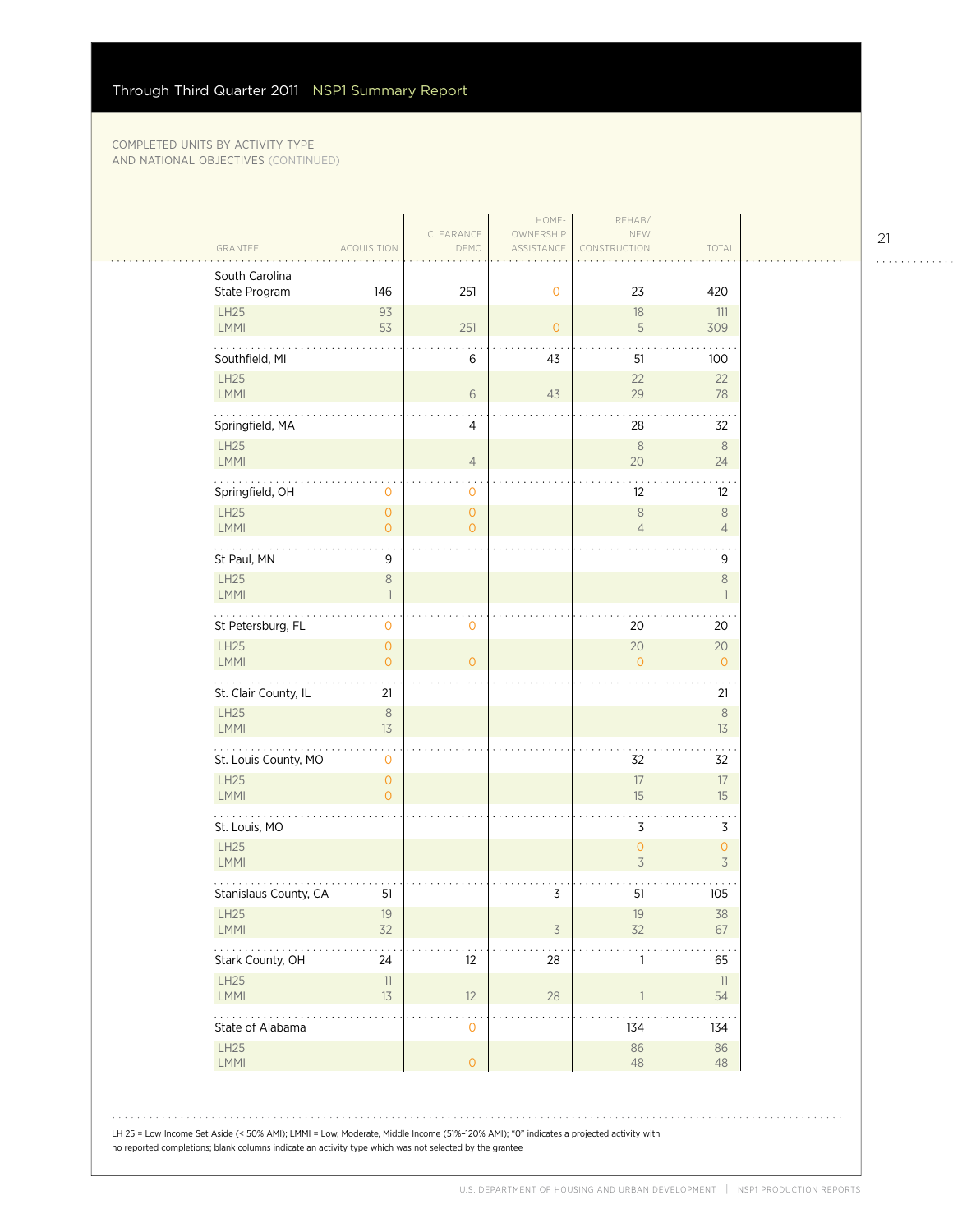| <b>LH25</b><br>93<br>18<br>111<br>251<br>LMMI<br>53<br>5<br>309<br>$\mathbf{0}$<br>Southfield, MI<br>$\,6$<br>43<br>51<br>100<br><b>LH25</b><br>22<br>22<br>LMMI<br>$6\,$<br>43<br>29<br>78<br>Springfield, MA<br>$\overline{4}$<br>28<br>32<br><b>LH25</b><br>$\,8\,$<br>$\,8\,$<br>$\sqrt{4}$<br>20<br><b>LMMI</b><br>24<br>Springfield, OH<br>12<br>12<br>0<br>0<br>LH25<br>$\mathsf{O}\xspace$<br>$\, 8$<br>$\,8\,$<br>$\overline{0}$<br>LMMI<br>$\overline{0}$<br>$\overline{O}$<br>$\overline{4}$<br>$\overline{4}$<br>.<br>St Paul, MN<br>9<br>9<br><b>LH25</b><br>$\,8\,$<br>$\,8\,$<br>LMMI<br>$\overline{1}$<br>$\mathbf{1}$<br>St Petersburg, FL<br>$\mathbf 0$<br>20<br>$\mathbf 0$<br>20<br><b>LH25</b><br>20<br>20<br>$\overline{0}$<br>LMMI<br>$\overline{0}$<br>$\overline{O}$<br>$\overline{O}$<br>$\mathbf{O}$<br>St. Clair County, IL<br>21<br>21<br>$\,8\,$<br><b>LH25</b><br>$\, 8$<br>LMMI<br>13<br>13<br>.<br>St. Louis County, MO<br>32<br>0<br>32<br>$17\,$<br><b>LH25</b><br>$\mathsf{O}\xspace$<br>17<br>LMMI<br>$\Omega$<br>15<br>15<br>$\mathsf 3$<br>3<br>St. Louis, MO<br>LH25<br>$\circ$<br>$\mathsf{O}\xspace$<br>3<br>$\overline{3}$<br><b>LMMI</b><br>Stanislaus County, CA<br>3<br>51<br>51<br>105<br><b>LH25</b><br>19<br>19<br>38<br>32<br>32<br>LMMI<br>$\overline{3}$<br>67<br>$\mathbf{z}$ , and $\mathbf{z}$ , and<br>Stark County, OH<br>24<br>12<br>28<br>1<br>65<br>LH25<br>$11\,$<br>11<br>13<br><b>LMMI</b><br>12<br>28<br>$\overline{1}$<br>54<br>. .<br>State of Alabama<br>134<br>$\mathbf 0$<br>134<br><b>LH25</b><br>86<br>86<br>$\mathsf{O}\xspace$<br>LMMI<br>48<br>48 | South Carolina<br>State Program | 146 | 251 | $\mathbf 0$ | 23 | 420 |
|------------------------------------------------------------------------------------------------------------------------------------------------------------------------------------------------------------------------------------------------------------------------------------------------------------------------------------------------------------------------------------------------------------------------------------------------------------------------------------------------------------------------------------------------------------------------------------------------------------------------------------------------------------------------------------------------------------------------------------------------------------------------------------------------------------------------------------------------------------------------------------------------------------------------------------------------------------------------------------------------------------------------------------------------------------------------------------------------------------------------------------------------------------------------------------------------------------------------------------------------------------------------------------------------------------------------------------------------------------------------------------------------------------------------------------------------------------------------------------------------------------------------------------------------------------------------------------------------------------------------------|---------------------------------|-----|-----|-------------|----|-----|
|                                                                                                                                                                                                                                                                                                                                                                                                                                                                                                                                                                                                                                                                                                                                                                                                                                                                                                                                                                                                                                                                                                                                                                                                                                                                                                                                                                                                                                                                                                                                                                                                                              |                                 |     |     |             |    |     |
|                                                                                                                                                                                                                                                                                                                                                                                                                                                                                                                                                                                                                                                                                                                                                                                                                                                                                                                                                                                                                                                                                                                                                                                                                                                                                                                                                                                                                                                                                                                                                                                                                              |                                 |     |     |             |    |     |
|                                                                                                                                                                                                                                                                                                                                                                                                                                                                                                                                                                                                                                                                                                                                                                                                                                                                                                                                                                                                                                                                                                                                                                                                                                                                                                                                                                                                                                                                                                                                                                                                                              |                                 |     |     |             |    |     |
|                                                                                                                                                                                                                                                                                                                                                                                                                                                                                                                                                                                                                                                                                                                                                                                                                                                                                                                                                                                                                                                                                                                                                                                                                                                                                                                                                                                                                                                                                                                                                                                                                              |                                 |     |     |             |    |     |
|                                                                                                                                                                                                                                                                                                                                                                                                                                                                                                                                                                                                                                                                                                                                                                                                                                                                                                                                                                                                                                                                                                                                                                                                                                                                                                                                                                                                                                                                                                                                                                                                                              |                                 |     |     |             |    |     |
|                                                                                                                                                                                                                                                                                                                                                                                                                                                                                                                                                                                                                                                                                                                                                                                                                                                                                                                                                                                                                                                                                                                                                                                                                                                                                                                                                                                                                                                                                                                                                                                                                              |                                 |     |     |             |    |     |
|                                                                                                                                                                                                                                                                                                                                                                                                                                                                                                                                                                                                                                                                                                                                                                                                                                                                                                                                                                                                                                                                                                                                                                                                                                                                                                                                                                                                                                                                                                                                                                                                                              |                                 |     |     |             |    |     |
|                                                                                                                                                                                                                                                                                                                                                                                                                                                                                                                                                                                                                                                                                                                                                                                                                                                                                                                                                                                                                                                                                                                                                                                                                                                                                                                                                                                                                                                                                                                                                                                                                              |                                 |     |     |             |    |     |
|                                                                                                                                                                                                                                                                                                                                                                                                                                                                                                                                                                                                                                                                                                                                                                                                                                                                                                                                                                                                                                                                                                                                                                                                                                                                                                                                                                                                                                                                                                                                                                                                                              |                                 |     |     |             |    |     |
|                                                                                                                                                                                                                                                                                                                                                                                                                                                                                                                                                                                                                                                                                                                                                                                                                                                                                                                                                                                                                                                                                                                                                                                                                                                                                                                                                                                                                                                                                                                                                                                                                              |                                 |     |     |             |    |     |
|                                                                                                                                                                                                                                                                                                                                                                                                                                                                                                                                                                                                                                                                                                                                                                                                                                                                                                                                                                                                                                                                                                                                                                                                                                                                                                                                                                                                                                                                                                                                                                                                                              |                                 |     |     |             |    |     |
|                                                                                                                                                                                                                                                                                                                                                                                                                                                                                                                                                                                                                                                                                                                                                                                                                                                                                                                                                                                                                                                                                                                                                                                                                                                                                                                                                                                                                                                                                                                                                                                                                              |                                 |     |     |             |    |     |
|                                                                                                                                                                                                                                                                                                                                                                                                                                                                                                                                                                                                                                                                                                                                                                                                                                                                                                                                                                                                                                                                                                                                                                                                                                                                                                                                                                                                                                                                                                                                                                                                                              |                                 |     |     |             |    |     |
|                                                                                                                                                                                                                                                                                                                                                                                                                                                                                                                                                                                                                                                                                                                                                                                                                                                                                                                                                                                                                                                                                                                                                                                                                                                                                                                                                                                                                                                                                                                                                                                                                              |                                 |     |     |             |    |     |
|                                                                                                                                                                                                                                                                                                                                                                                                                                                                                                                                                                                                                                                                                                                                                                                                                                                                                                                                                                                                                                                                                                                                                                                                                                                                                                                                                                                                                                                                                                                                                                                                                              |                                 |     |     |             |    |     |
|                                                                                                                                                                                                                                                                                                                                                                                                                                                                                                                                                                                                                                                                                                                                                                                                                                                                                                                                                                                                                                                                                                                                                                                                                                                                                                                                                                                                                                                                                                                                                                                                                              |                                 |     |     |             |    |     |
|                                                                                                                                                                                                                                                                                                                                                                                                                                                                                                                                                                                                                                                                                                                                                                                                                                                                                                                                                                                                                                                                                                                                                                                                                                                                                                                                                                                                                                                                                                                                                                                                                              |                                 |     |     |             |    |     |
|                                                                                                                                                                                                                                                                                                                                                                                                                                                                                                                                                                                                                                                                                                                                                                                                                                                                                                                                                                                                                                                                                                                                                                                                                                                                                                                                                                                                                                                                                                                                                                                                                              |                                 |     |     |             |    |     |
|                                                                                                                                                                                                                                                                                                                                                                                                                                                                                                                                                                                                                                                                                                                                                                                                                                                                                                                                                                                                                                                                                                                                                                                                                                                                                                                                                                                                                                                                                                                                                                                                                              |                                 |     |     |             |    |     |
|                                                                                                                                                                                                                                                                                                                                                                                                                                                                                                                                                                                                                                                                                                                                                                                                                                                                                                                                                                                                                                                                                                                                                                                                                                                                                                                                                                                                                                                                                                                                                                                                                              |                                 |     |     |             |    |     |
|                                                                                                                                                                                                                                                                                                                                                                                                                                                                                                                                                                                                                                                                                                                                                                                                                                                                                                                                                                                                                                                                                                                                                                                                                                                                                                                                                                                                                                                                                                                                                                                                                              |                                 |     |     |             |    |     |
|                                                                                                                                                                                                                                                                                                                                                                                                                                                                                                                                                                                                                                                                                                                                                                                                                                                                                                                                                                                                                                                                                                                                                                                                                                                                                                                                                                                                                                                                                                                                                                                                                              |                                 |     |     |             |    |     |
|                                                                                                                                                                                                                                                                                                                                                                                                                                                                                                                                                                                                                                                                                                                                                                                                                                                                                                                                                                                                                                                                                                                                                                                                                                                                                                                                                                                                                                                                                                                                                                                                                              |                                 |     |     |             |    |     |
|                                                                                                                                                                                                                                                                                                                                                                                                                                                                                                                                                                                                                                                                                                                                                                                                                                                                                                                                                                                                                                                                                                                                                                                                                                                                                                                                                                                                                                                                                                                                                                                                                              |                                 |     |     |             |    |     |

21

. . . . . . . . . . . .

 $\mathcal{L}$ 

 $\bar{\psi}$  .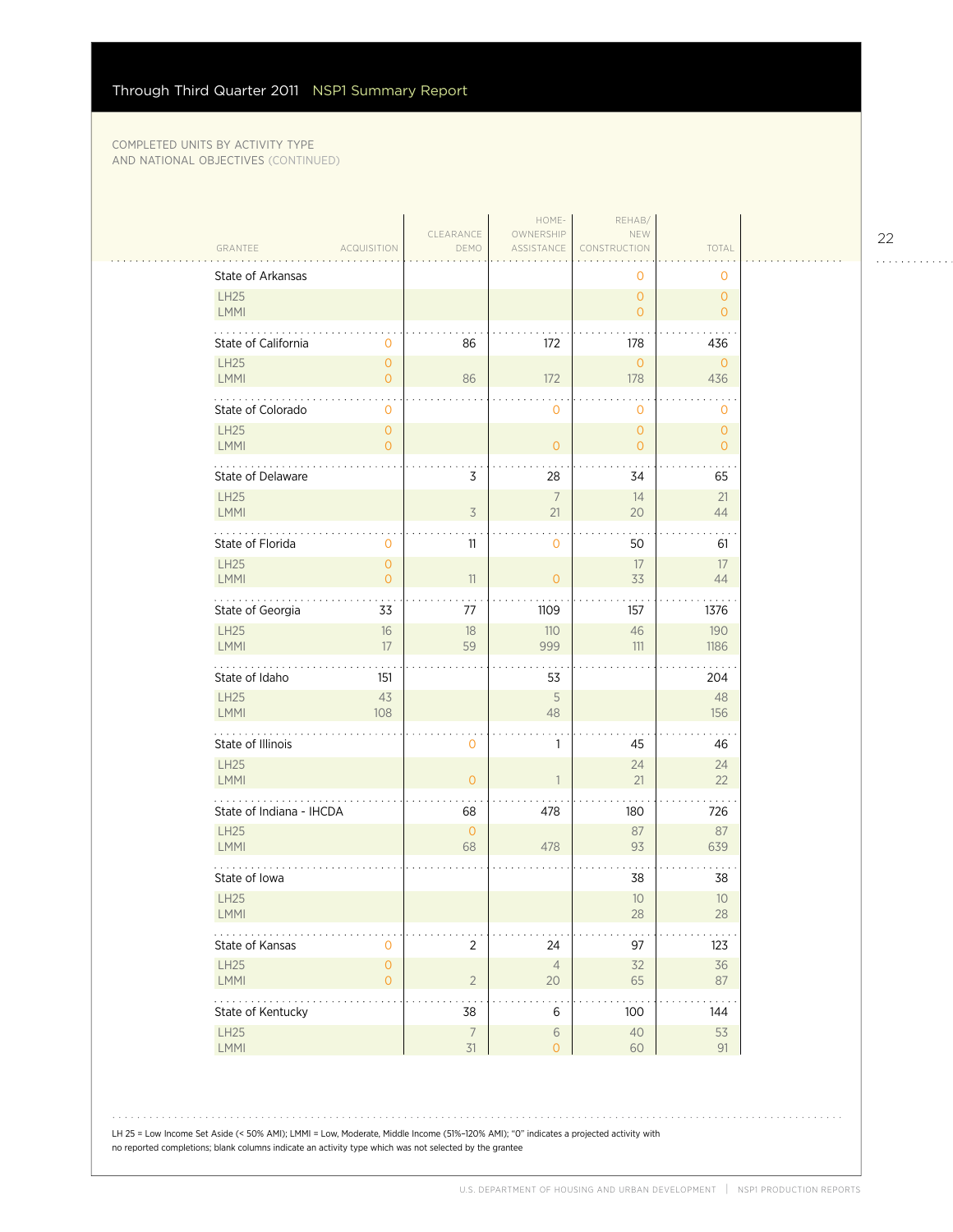$\sim$  . . . .

|                            |                                       |                   | HOME-                   | REHAB/                         |                                |
|----------------------------|---------------------------------------|-------------------|-------------------------|--------------------------------|--------------------------------|
| GRANTEE                    | <b>ACQUISITION</b>                    | CLEARANCE<br>DEMO | OWNERSHIP<br>ASSISTANCE | NEW<br>CONSTRUCTION            | TOTAL                          |
| State of Arkansas          |                                       |                   |                         | 0                              | $\mathbf{O}$                   |
| <b>LH25</b><br>LMMI        |                                       |                   |                         | $\mathbf{O}$<br>$\overline{O}$ | $\mathbf{O}$<br>$\circ$        |
| State of California        | 0                                     | 86                | 172                     | 178                            | 436                            |
| LH25                       | $\mathsf{O}\xspace$                   |                   |                         | $\mathbf{O}$                   | $\mathbf{0}$                   |
| <b>LMMI</b>                | $\overline{O}$                        | 86                | 172                     | 178                            | 436                            |
| .<br>State of Colorado     | 0                                     |                   | 0                       | $\mathbf{O}$                   | 0                              |
| LH25<br>LMMI               | $\mathsf{O}\xspace$<br>$\overline{0}$ |                   | $\overline{O}$          | $\mathbf{0}$<br>$\overline{O}$ | $\mathbf{O}$<br>$\overline{0}$ |
| State of Delaware          |                                       | 3                 | 28                      | 34                             | 65                             |
| <b>LH25</b>                |                                       |                   | $\overline{7}$          | 14                             | 21                             |
| LMMI                       |                                       | 3                 | 21                      | 20                             | 44                             |
| State of Florida           | 0                                     | 11                | 0                       | 50                             | 61                             |
| <b>LH25</b><br>LMMI        | $\overline{0}$<br>$\mathbf 0$         | 11                | $\mathbf{0}$            | 17<br>33                       | 17<br>44                       |
| State of Georgia           | 33                                    | 77                | 1109                    | 157                            | 1376                           |
| LH25                       | 16                                    | 18                | 110                     | 46                             | 190                            |
| LMMI                       | 17                                    | 59                | 999                     | 111                            | 1186                           |
| State of Idaho             | 151                                   |                   | 53                      |                                | 204                            |
| <b>LH25</b><br><b>LMMI</b> | 43<br>108                             |                   | 5<br>48                 |                                | 48<br>156                      |
| .<br>State of Illinois     |                                       | $\mathbf{0}$      | 1                       | 45                             | 46                             |
| <b>LH25</b>                |                                       |                   |                         | 24                             | 24                             |
| <b>LMMI</b>                |                                       | $\overline{0}$    | $\overline{1}$          | 21                             | 22                             |
| State of Indiana - IHCDA   |                                       | 68                | 478                     | 180                            | 726                            |
| <b>LH25</b><br>LMMI        |                                       | $\circ$<br>68     | 478                     | 87<br>93                       | 87<br>639                      |
| State of Iowa              |                                       |                   |                         | 38                             | 38                             |
| <b>LH25</b>                |                                       |                   |                         | 10                             | 10                             |
| <b>LMMI</b>                |                                       |                   |                         | 28                             | 28                             |
| State of Kansas            | $\mathbf 0$                           | $\overline{2}$    | 24                      | 97                             | 123                            |
| LH25<br>LMMI               | $\mathsf O$<br>$\mathsf{O}\xspace$    | $\sqrt{2}$        | $\overline{4}$<br>20    | 32<br>65                       | 36<br>87                       |
| State of Kentucky          |                                       | 38                | 6                       | 100                            | 144                            |
| LH25                       |                                       | $\boldsymbol{7}$  | $\,$ $\,$ $\,$          | $40\,$                         | 53                             |
| LMMI                       |                                       | 31                | $\overline{0}$          | 60                             | 91                             |

# 

LH 25 = Low Income Set Aside (< 50% AMI); LMMI = Low, Moderate, Middle Income (51%–120% AMI); "0" indicates a projected activity with

no reported completions; blank columns indicate an activity type which was not selected by the grantee

22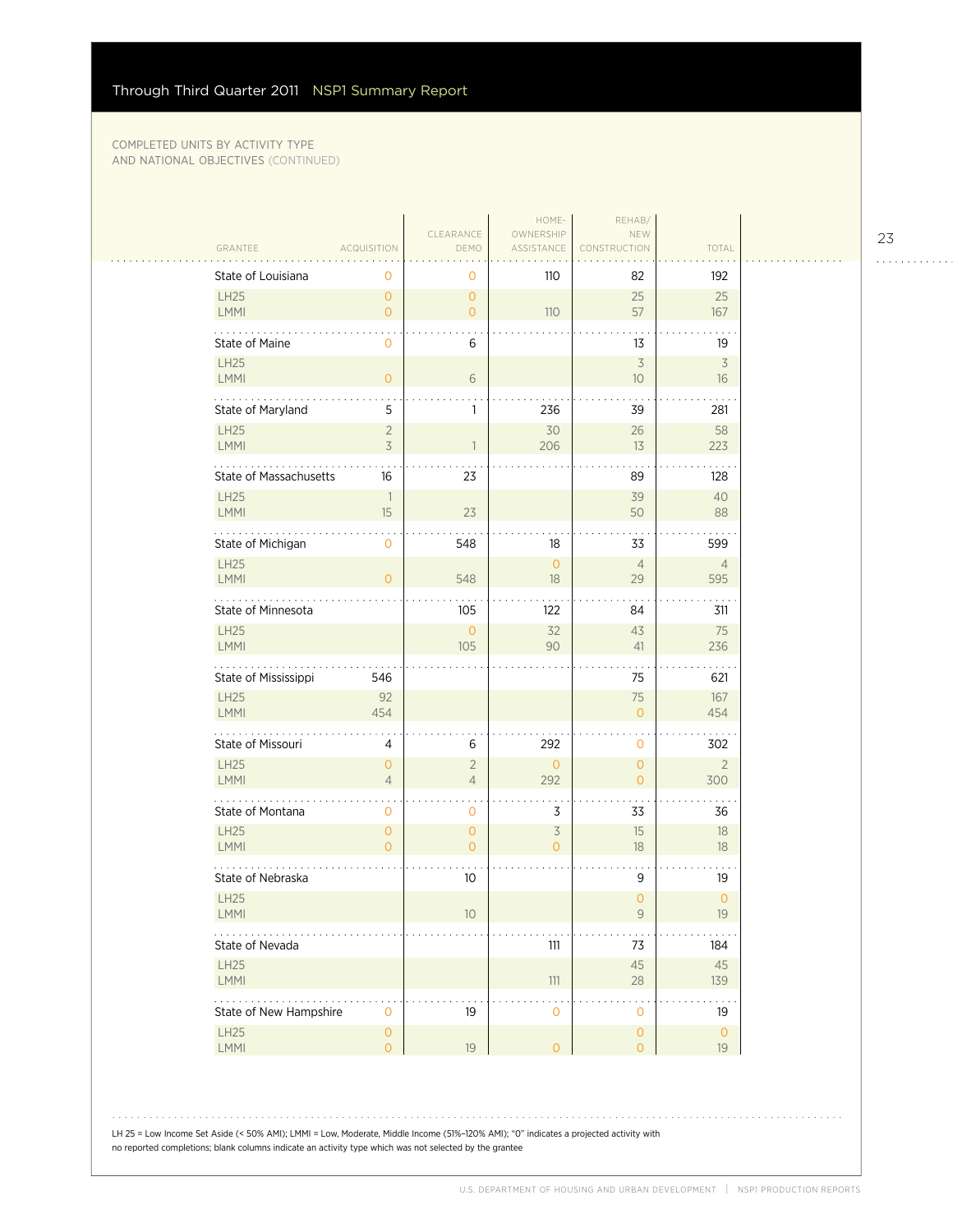$\mathcal{L}_{\mathcal{A}}$ 

|                             |                                  |                                  | HOME-                                      | REHAB/                           |                                |
|-----------------------------|----------------------------------|----------------------------------|--------------------------------------------|----------------------------------|--------------------------------|
| GRANTEE                     | <b>ACQUISITION</b>               | CLEARANCE<br>DEMO                | OWNERSHIP<br>ASSISTANCE                    | NEW<br>CONSTRUCTION              | TOTAL                          |
| State of Louisiana          | $\mathbf{O}$                     | 0                                | 110                                        | 82                               | 192                            |
| <b>LH25</b><br>LMMI         | $\overline{0}$<br>$\overline{0}$ | $\mathbf{O}$<br>$\overline{0}$   | 110                                        | 25<br>57                         | 25<br>167                      |
| State of Maine              | $\mathbf{O}$                     | 6                                |                                            | 13                               | 19                             |
| LH25<br>LMMI                | $\overline{O}$                   | 6                                |                                            | $\overline{\mathcal{S}}$<br>10   | $\overline{\mathcal{S}}$<br>16 |
| .<br>State of Maryland      | 5                                | 1                                | 236                                        | 39                               | 281                            |
| LH25<br>LMMI                | $\overline{2}$<br>3              | $\mathbf{1}$                     | 30<br>206                                  | 26<br>13                         | 58<br>223                      |
| State of Massachusetts      | 16                               | 23                               |                                            | 89                               | 128                            |
| LH25<br>LMMI                | $\overline{1}$<br>15             | 23                               |                                            | 39<br>50                         | 40<br>88                       |
| State of Michigan           | $\mathbf{O}$                     | 548                              | 18                                         | 33                               | 599                            |
| <b>LH25</b><br>LMMI         | $\overline{0}$                   | 548                              | $\mathsf{O}\xspace$<br>18                  | $\overline{4}$<br>29             | $\overline{4}$<br>595          |
| 1.1.1<br>State of Minnesota |                                  | 105                              | 122                                        | 84                               | 311                            |
| <b>LH25</b><br>LMMI         |                                  | $\circ$<br>105                   | 32<br>90                                   | 43<br>41                         | 75<br>236                      |
| State of Mississippi        | 546                              |                                  |                                            | 75                               | 621                            |
| <b>LH25</b><br>LMMI         | 92<br>454                        |                                  |                                            | 75<br>$\overline{O}$             | 167<br>454                     |
| .<br>State of Missouri      | 4                                | 6                                | 292                                        | 0                                | 302                            |
| <b>LH25</b><br><b>LMMI</b>  | $\overline{O}$<br>$\overline{4}$ | $\overline{2}$<br>$\overline{4}$ | $\overline{O}$<br>292                      | $\overline{0}$<br>$\overline{O}$ | $\overline{2}$<br>300          |
| State of Montana            | $\mathbf{0}$                     | $\mathbf 0$                      | 3                                          | 33                               | 36                             |
| <b>LH25</b><br>LMMI         | $\overline{0}$<br>$\Omega$       | $\overline{0}$<br>$\overline{0}$ | $\overline{\mathcal{S}}$<br>$\overline{O}$ | 15<br>18                         | 18<br>18                       |
| State of Nebraska           |                                  | 10                               |                                            | 9                                | 19                             |
| <b>LH25</b><br><b>LMMI</b>  |                                  | 10                               |                                            | $\overline{O}$<br>9              | $\mathbf{O}$<br>19             |
| State of Nevada             |                                  |                                  | $111$                                      | 73                               | 184                            |
| LH25<br>LMMI                |                                  |                                  | $111$                                      | 45<br>28                         | 45<br>139                      |
| .<br>State of New Hampshire | $\mathbf{O}$                     | 19                               | $\mathbf 0$                                | $\mathbf 0$                      | 19                             |
| <b>LH25</b>                 | $\mathsf{O}\xspace$              |                                  |                                            | $\mathsf{O}\xspace$              | $\mathsf{O}\xspace$            |

LH 25 = Low Income Set Aside (< 50% AMI); LMMI = Low, Moderate, Middle Income (51%–120% AMI); "0" indicates a projected activity with no reported completions; blank columns indicate an activity type which was not selected by the grantee

23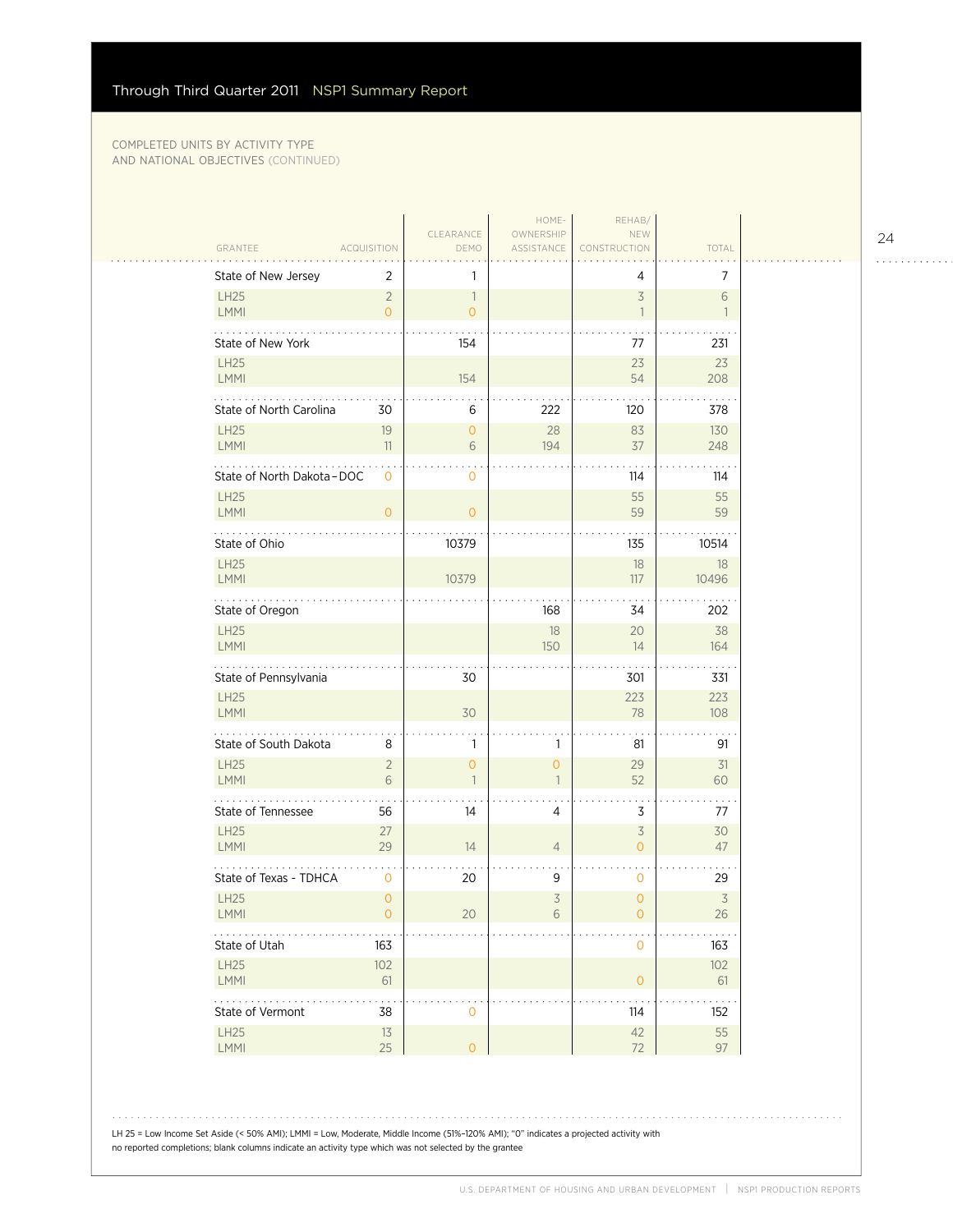$\mathcal{L}_{\mathcal{A}}$ 

|                                                               |                                  |                                            | HOME-                   | REHAB/                           |                                |
|---------------------------------------------------------------|----------------------------------|--------------------------------------------|-------------------------|----------------------------------|--------------------------------|
| GRANTEE                                                       | <b>ACQUISITION</b>               | CLEARANCE<br>DEMO                          | OWNERSHIP<br>ASSISTANCE | NEW<br>CONSTRUCTION              | TOTAL                          |
| State of New Jersey                                           | 2                                | 1                                          |                         | 4                                | $\overline{7}$                 |
| <b>LH25</b><br>LMMI                                           | $\overline{2}$<br>$\overline{0}$ | $\overline{\phantom{a}}$<br>$\overline{O}$ |                         | $\overline{3}$<br>$\overline{1}$ | 6<br>$\overline{1}$            |
| State of New York                                             |                                  | 154                                        |                         | 77                               | 231                            |
| <b>LH25</b><br>LMMI                                           |                                  | 154                                        |                         | 23<br>54                         | 23<br>208                      |
| .<br>State of North Carolina                                  | 30                               | 6                                          | 222                     | 120                              | 378                            |
| <b>LH25</b><br>LMMI                                           | 19<br>11                         | $\mathbf{0}$<br>6                          | 28<br>194               | 83<br>37                         | 130<br>248                     |
| State of North Dakota - DOC                                   | $\mathbf{0}$                     | 0                                          |                         | 114                              | 114                            |
| <b>LH25</b><br>LMMI                                           | $\mathbf 0$                      | $\circ$                                    |                         | 55<br>59                         | 55<br>59                       |
| State of Ohio                                                 |                                  | 10379                                      |                         | 135                              | 10514                          |
| <b>LH25</b><br>LMMI                                           |                                  | 10379                                      |                         | 18<br>117                        | 18<br>10496                    |
| $\mathbb{Z}^2$ . The set of $\mathbb{Z}^2$<br>State of Oregon |                                  |                                            | 168                     | 34                               | 202                            |
| <b>LH25</b><br>LMMI                                           |                                  |                                            | 18<br>150               | 20<br>14                         | 38<br>164                      |
| State of Pennsylvania                                         |                                  | 30                                         |                         | 301                              | 331                            |
| <b>LH25</b><br>LMMI                                           |                                  | 30                                         |                         | 223<br>78                        | 223<br>108                     |
| .<br>State of South Dakota                                    | 8                                | 1                                          | 1                       | 81                               | 91                             |
| <b>LH25</b><br><b>LMMI</b>                                    | $\overline{2}$<br>6              | $\overline{O}$<br>$\overline{1}$           | 0<br>$\mathbf{1}$       | 29<br>52                         | 31<br>60                       |
| State of Tennessee                                            | 56                               | 14                                         | $\overline{4}$          | 3                                | 77                             |
| <b>LH25</b><br>LMMI                                           | 27<br>29                         | 14                                         | $\overline{4}$          | $\overline{3}$<br>$\overline{0}$ | 30<br>47                       |
| State of Texas - TDHCA                                        | 0                                | 20                                         | 9                       | 0                                | 29                             |
| <b>LH25</b><br><b>LMMI</b>                                    | $\overline{0}$<br>0              | 20                                         | $\overline{3}$<br>6     | $\overline{0}$<br>0              | $\overline{\mathcal{S}}$<br>26 |
| State of Utah                                                 | 163                              |                                            |                         | 0                                | 163                            |
| <b>LH25</b><br>LMMI                                           | 102<br>61                        |                                            |                         | $\overline{0}$                   | 102<br>61                      |
| .<br>State of Vermont                                         | .<br>38                          | 0                                          |                         | 114                              | $\sim$ $\sim$ $\sim$<br>152    |
| LH25<br>LMMI                                                  | 13<br>25                         | $\mathsf O$                                |                         | $42$<br>72                       | 55<br>97                       |
|                                                               |                                  |                                            |                         |                                  |                                |

LH 25 = Low Income Set Aside (< 50% AMI); LMMI = Low, Moderate, Middle Income (51%–120% AMI); "0" indicates a projected activity with no reported completions; blank columns indicate an activity type which was not selected by the grantee

24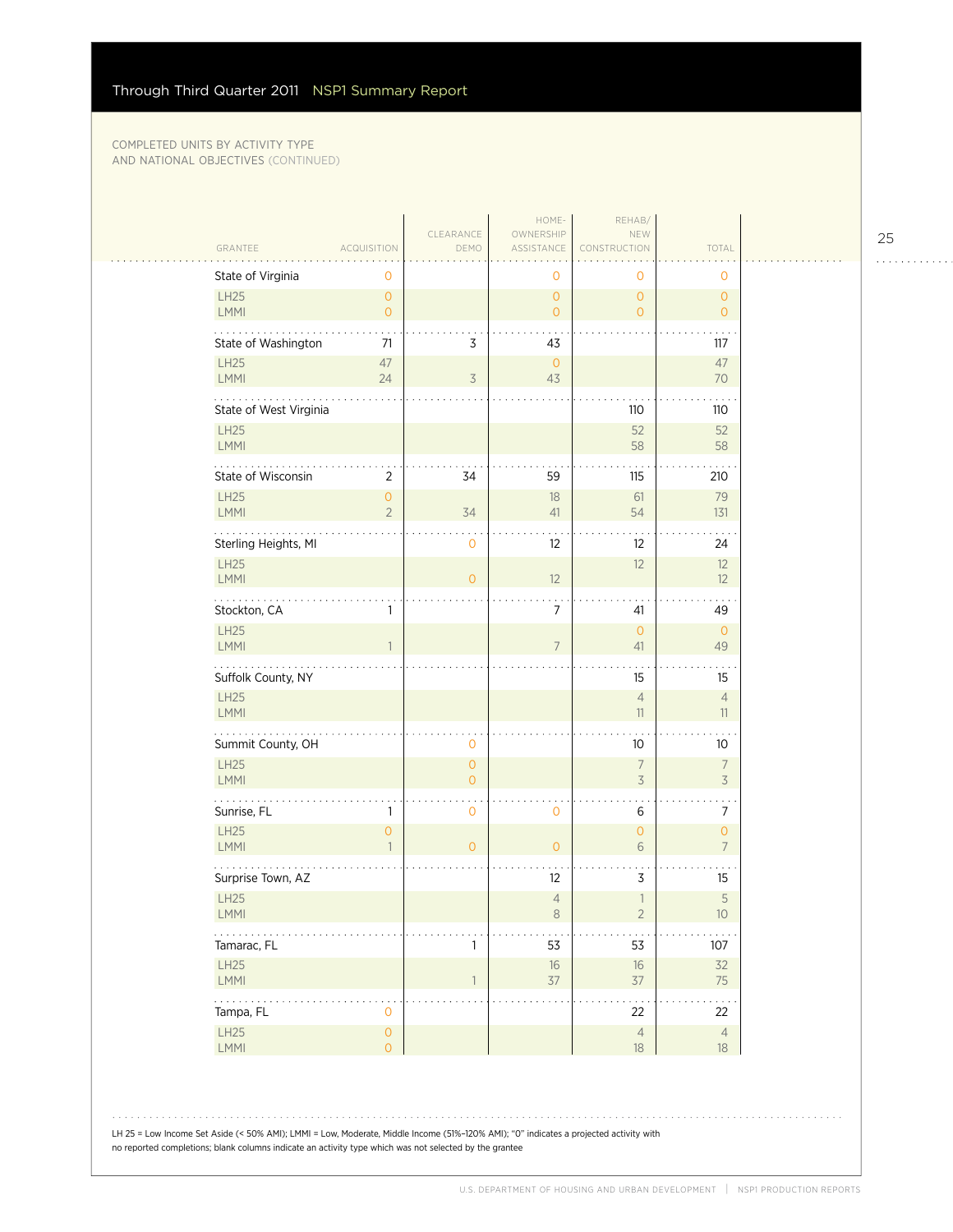$\sim$  . . . .

| GRANTEE                | <b>ACQUISITION</b>                    | CLEARANCE<br>DEMO         | HOME-<br>OWNERSHIP<br>ASSISTANCE      | REHAB/<br>NEW<br>CONSTRUCTION    | TOTAL                            |  |
|------------------------|---------------------------------------|---------------------------|---------------------------------------|----------------------------------|----------------------------------|--|
| State of Virginia      | 0                                     |                           | 0                                     | 0                                | 0                                |  |
| LH25<br>LMMI           | $\mathsf{O}\xspace$<br>$\overline{0}$ |                           | $\mathsf{O}\xspace$<br>$\overline{O}$ | $\mathbf{0}$<br>$\overline{0}$   | $\overline{0}$<br>$\overline{O}$ |  |
| State of Washington    | 71                                    | 3                         | 43                                    |                                  | 117                              |  |
| LH25<br>LMMI           | $47\,$<br>24                          | 3                         | $\overline{0}$<br>43                  |                                  | 47<br>70                         |  |
| State of West Virginia |                                       |                           |                                       | 110                              | 110                              |  |
| LH25<br><b>LMMI</b>    |                                       |                           |                                       | 52<br>58                         | 52<br>58                         |  |
| State of Wisconsin     | $\sqrt{2}$                            | 34                        | 59                                    | 115                              | 210                              |  |
| LH25<br>LMMI           | $\mathsf{O}\xspace$<br>$\overline{2}$ | 34                        | 18<br>41                              | 61<br>54                         | 79<br>131                        |  |
| Sterling Heights, MI   |                                       | 0                         | 12                                    | 12                               | 24                               |  |
| LH25<br><b>LMMI</b>    |                                       | $\overline{O}$            | 12                                    | 12                               | 12<br>12                         |  |
| Stockton, CA           | 1                                     |                           | $\overline{7}$                        | 41                               | 49                               |  |
| LH25<br>LMMI           | $\mathbf{1}$                          |                           | $\overline{7}$                        | $\mathbf 0$<br>41                | $\overline{0}$<br>49             |  |
| Suffolk County, NY     |                                       |                           |                                       | 15                               | 15                               |  |
| LH25<br><b>LMMI</b>    |                                       |                           |                                       | $\overline{4}$<br>11             | $\overline{4}$<br>11             |  |
| .<br>Summit County, OH |                                       | 0                         |                                       | 10                               | 10                               |  |
| LH25<br><b>LMMI</b>    |                                       | $\circ$<br>$\overline{O}$ |                                       | $\overline{7}$<br>3              | $\overline{7}$<br>$\overline{3}$ |  |
| Sunrise, FL            | 1                                     | 0                         | $\mathbf 0$                           | 6                                | 7                                |  |
| LH25<br><b>LMMI</b>    | $\mathsf{O}\xspace$<br>$\mathbf{1}$   | $\circ$                   | $\circ$                               | 0<br>6                           | $\mathbf{O}$<br>$\overline{7}$   |  |
| Surprise Town, AZ      |                                       |                           | 12                                    | 3                                | 15                               |  |
| LH25<br>LMMI           |                                       |                           | $\overline{4}$<br>8                   | $\overline{1}$<br>$\overline{2}$ | 5<br>10 <sup>°</sup>             |  |
| Tamarac, FL            |                                       | 1                         | 53                                    | 53                               | 107                              |  |
| LH25<br>LMMI           |                                       | 1                         | $16\,$<br>$37$                        | $16\,$<br>$37\,$                 | 32<br>75                         |  |
| .<br>Tampa, FL         | $\mathbf 0$                           |                           |                                       | 22                               | 22                               |  |
| LH25<br>LMMI           | $\mathsf{O}\xspace$<br>$\overline{0}$ |                           |                                       | $\overline{4}$<br>18             | $\overline{4}$<br>$18\,$         |  |

LH 25 = Low Income Set Aside (< 50% AMI); LMMI = Low, Moderate, Middle Income (51%–120% AMI); "0" indicates a projected activity with no reported completions; blank columns indicate an activity type which was not selected by the grantee

25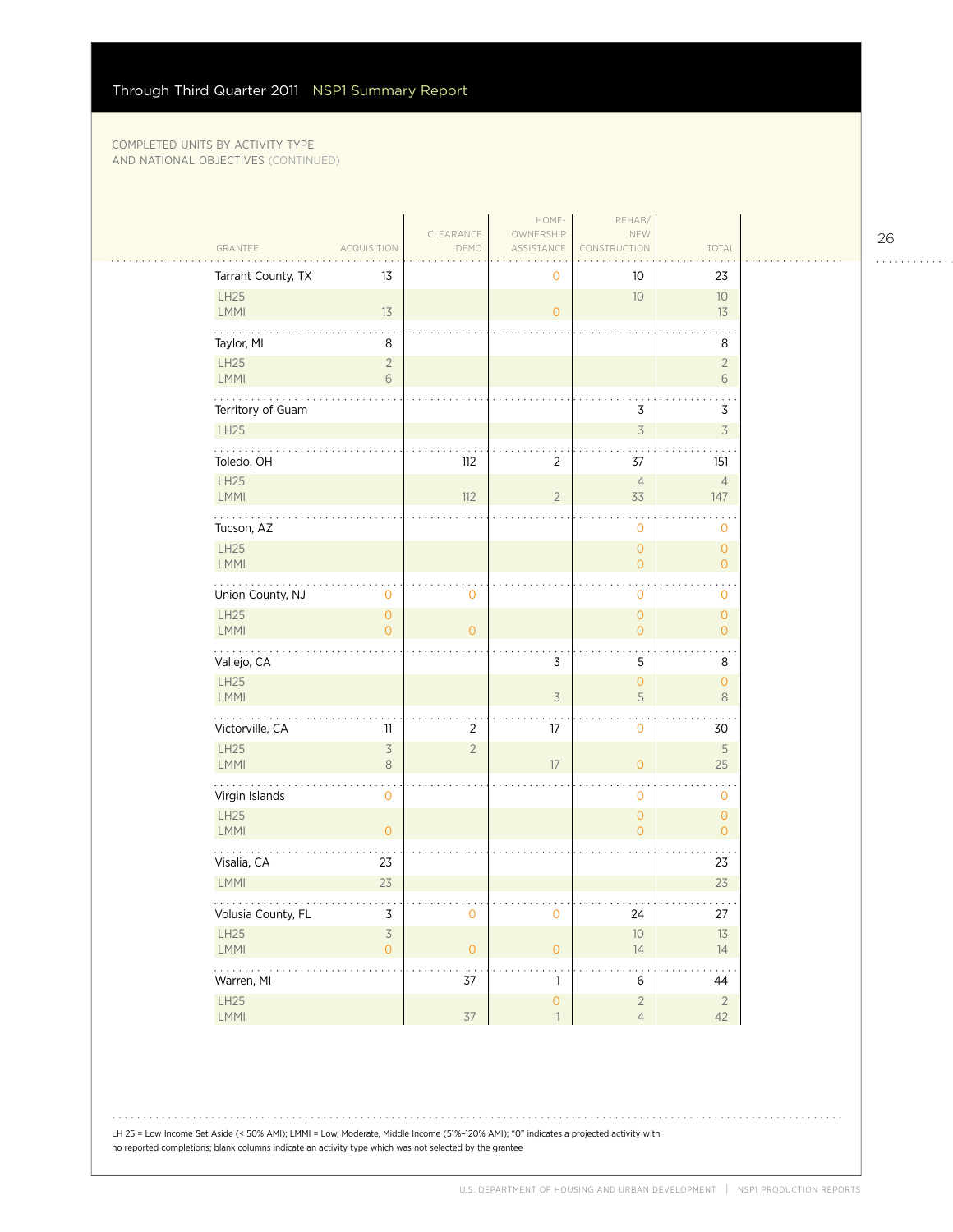| GRANTEE                    | ACQUISITION                           | CLEARANCE<br>DEMO | HOME-<br>OWNERSHIP<br>ASSISTANCE      | REHAB/<br>NEW<br>CONSTRUCTION         | TOTAL                                 |
|----------------------------|---------------------------------------|-------------------|---------------------------------------|---------------------------------------|---------------------------------------|
| Tarrant County, TX         | 13                                    |                   | 0                                     | 10                                    | 23                                    |
| LH25<br>LMMI               | 13                                    |                   | $\overline{O}$                        | 10                                    | $10$<br>13                            |
| Taylor, MI                 | 8                                     |                   |                                       |                                       | 8                                     |
| <b>LH25</b><br>LMMI        | $\sqrt{2}$<br>6                       |                   |                                       |                                       | $\sqrt{2}$<br>6                       |
| Territory of Guam          |                                       |                   |                                       | 3                                     | $\overline{3}$                        |
| LH25<br>.                  |                                       |                   |                                       | $\overline{\mathcal{S}}$              | $\overline{\mathcal{S}}$              |
| Toledo, OH                 |                                       | 112               | $\overline{2}$                        | 37                                    | 151                                   |
| LH25<br>LMMI               |                                       | 112               | $\overline{2}$                        | $\overline{4}$<br>33                  | $\overline{4}$<br>147                 |
| Tucson, AZ                 |                                       |                   |                                       | 0                                     | 0                                     |
| LH25<br>LMMI               |                                       |                   |                                       | $\mathsf{O}\xspace$<br>$\overline{O}$ | $\mathsf{O}\xspace$<br>$\overline{O}$ |
| .<br>Union County, NJ      | $\mathbf 0$                           | $\mathbf 0$       |                                       | 0                                     | $\mathbf 0$                           |
| <b>LH25</b><br><b>LMMI</b> | $\mathsf{O}\xspace$<br>$\Omega$       | $\overline{O}$    |                                       | $\overline{0}$<br>$\mathsf{O}\xspace$ | $\mathbf{O}$<br>$\overline{O}$        |
| Vallejo, CA                |                                       |                   | 3                                     | 5                                     | 8                                     |
| LH25<br><b>LMMI</b>        |                                       |                   | $\overline{\mathcal{S}}$              | $\overline{0}$<br>5                   | $\circ$<br>$\,8\,$                    |
| Victorville, CA            | 11                                    | 2                 | 17                                    | 0                                     | 30                                    |
| LH25<br><b>LMMI</b>        | $\overline{\mathcal{S}}$<br>8         | $\sqrt{2}$        | 17                                    | $\overline{0}$                        | $\sqrt{5}$<br>25                      |
| .<br>Virgin Islands        | $\mathsf{O}\xspace$                   |                   |                                       | 0                                     | 0                                     |
| LH25<br><b>LMMI</b>        | $\overline{O}$                        |                   |                                       | $\mathsf{O}\xspace$<br>$\overline{O}$ | $\circ$<br>$\Omega$                   |
| Visalia, CA                | 23                                    |                   |                                       |                                       | 23                                    |
| <b>LMMI</b>                | 23                                    |                   |                                       |                                       | 23                                    |
| Volusia County, FL         | $\mathsf 3$                           | $\mathsf O$       | $\mathsf{O}\xspace$                   | 24                                    | 27                                    |
| LH25<br>LMMI               | $\overline{3}$<br>$\mathsf{O}\xspace$ | $\overline{O}$    | $\overline{O}$                        | $10$<br>14                            | 13<br>14                              |
| Warren, MI                 |                                       | 37                | $\mathbf{1}$                          | 6                                     | 44                                    |
| LH25<br>LMMI               |                                       | $37$              | $\mathsf{O}\xspace$<br>$\overline{1}$ | $\sqrt{2}$<br>$\overline{4}$          | $\overline{2}$<br>42                  |

LH 25 = Low Income Set Aside (< 50% AMI); LMMI = Low, Moderate, Middle Income (51%–120% AMI); "0" indicates a projected activity with no reported completions; blank columns indicate an activity type which was not selected by the grantee

26

. . . . . . . . . . . .